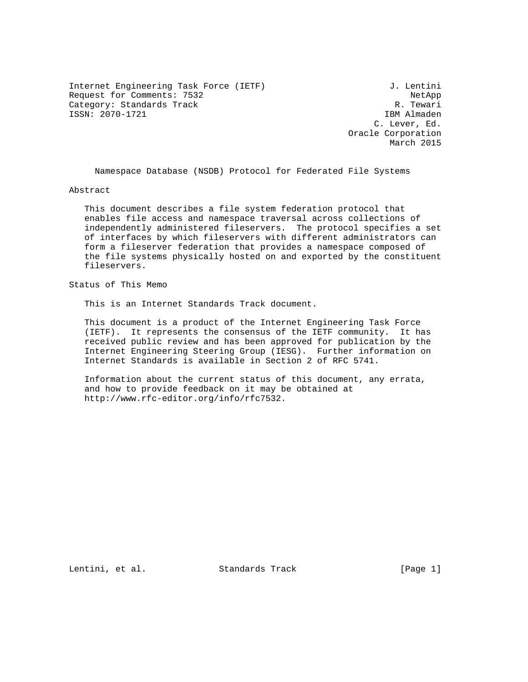Internet Engineering Task Force (IETF) 3. Lentini Request for Comments: 7532 NetApp Category: Standards Track R. Tewari R. Tewari<br>
ISSN: 2070-1721 R. Tewari ISSN: 2070-1721

 C. Lever, Ed. Oracle Corporation March 2015

Namespace Database (NSDB) Protocol for Federated File Systems

Abstract

 This document describes a file system federation protocol that enables file access and namespace traversal across collections of independently administered fileservers. The protocol specifies a set of interfaces by which fileservers with different administrators can form a fileserver federation that provides a namespace composed of the file systems physically hosted on and exported by the constituent fileservers.

Status of This Memo

This is an Internet Standards Track document.

 This document is a product of the Internet Engineering Task Force (IETF). It represents the consensus of the IETF community. It has received public review and has been approved for publication by the Internet Engineering Steering Group (IESG). Further information on Internet Standards is available in Section 2 of RFC 5741.

 Information about the current status of this document, any errata, and how to provide feedback on it may be obtained at http://www.rfc-editor.org/info/rfc7532.

Lentini, et al. Standards Track [Page 1]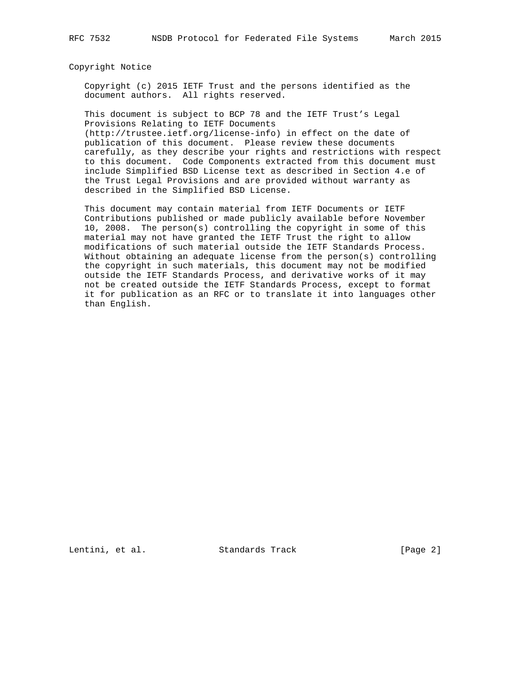Copyright Notice

 Copyright (c) 2015 IETF Trust and the persons identified as the document authors. All rights reserved.

 This document is subject to BCP 78 and the IETF Trust's Legal Provisions Relating to IETF Documents

 (http://trustee.ietf.org/license-info) in effect on the date of publication of this document. Please review these documents carefully, as they describe your rights and restrictions with respect to this document. Code Components extracted from this document must include Simplified BSD License text as described in Section 4.e of the Trust Legal Provisions and are provided without warranty as described in the Simplified BSD License.

 This document may contain material from IETF Documents or IETF Contributions published or made publicly available before November 10, 2008. The person(s) controlling the copyright in some of this material may not have granted the IETF Trust the right to allow modifications of such material outside the IETF Standards Process. Without obtaining an adequate license from the person(s) controlling the copyright in such materials, this document may not be modified outside the IETF Standards Process, and derivative works of it may not be created outside the IETF Standards Process, except to format it for publication as an RFC or to translate it into languages other than English.

Lentini, et al. Standards Track [Page 2]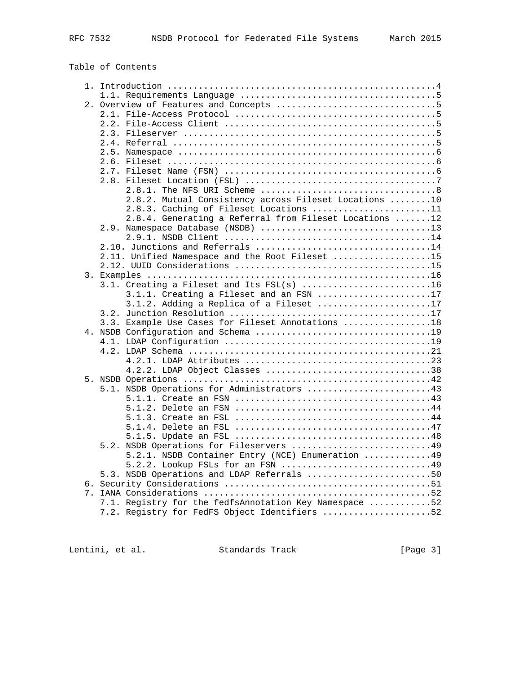# Table of Contents

|                | 2.8.2. Mutual Consistency across Fileset Locations 10  |  |
|----------------|--------------------------------------------------------|--|
|                | 2.8.3. Caching of Fileset Locations 11                 |  |
|                | 2.8.4. Generating a Referral from Fileset Locations 12 |  |
|                |                                                        |  |
|                |                                                        |  |
|                | 2.10. Junctions and Referrals 14                       |  |
|                | 2.11. Unified Namespace and the Root Fileset 15        |  |
|                |                                                        |  |
|                |                                                        |  |
|                | 3.1. Creating a Fileset and Its $FSL(s)$ 16            |  |
|                | 3.1.1. Creating a Fileset and an FSN 17                |  |
|                | 3.1.2. Adding a Replica of a Fileset 17                |  |
|                |                                                        |  |
|                | 3.3. Example Use Cases for Fileset Annotations 18      |  |
|                |                                                        |  |
|                |                                                        |  |
|                |                                                        |  |
|                |                                                        |  |
|                | 4.2.2. LDAP Object Classes 38                          |  |
|                |                                                        |  |
|                | 5.1. NSDB Operations for Administrators 43             |  |
|                |                                                        |  |
|                |                                                        |  |
|                |                                                        |  |
|                |                                                        |  |
|                |                                                        |  |
|                | 5.2. NSDB Operations for Fileservers 49                |  |
|                | 5.2.1. NSDB Container Entry (NCE) Enumeration 49       |  |
|                | 5.2.2. Lookup FSLs for an FSN 49                       |  |
|                | 5.3. NSDB Operations and LDAP Referrals 50             |  |
| 7 <sup>1</sup> |                                                        |  |
|                |                                                        |  |
|                | 7.1. Registry for the fedfsAnnotation Key Namespace 52 |  |
|                | 7.2. Registry for FedFS Object Identifiers 52          |  |

Lentini, et al. Standards Track [Page 3]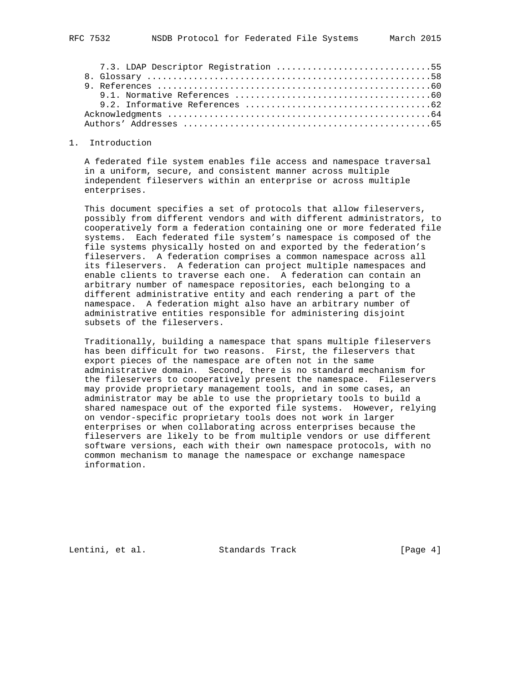| 7.3. LDAP Descriptor Registration 55 |  |
|--------------------------------------|--|
|                                      |  |
|                                      |  |
|                                      |  |
|                                      |  |
|                                      |  |
|                                      |  |

### 1. Introduction

 A federated file system enables file access and namespace traversal in a uniform, secure, and consistent manner across multiple independent fileservers within an enterprise or across multiple enterprises.

 This document specifies a set of protocols that allow fileservers, possibly from different vendors and with different administrators, to cooperatively form a federation containing one or more federated file systems. Each federated file system's namespace is composed of the file systems physically hosted on and exported by the federation's fileservers. A federation comprises a common namespace across all its fileservers. A federation can project multiple namespaces and enable clients to traverse each one. A federation can contain an arbitrary number of namespace repositories, each belonging to a different administrative entity and each rendering a part of the namespace. A federation might also have an arbitrary number of administrative entities responsible for administering disjoint subsets of the fileservers.

 Traditionally, building a namespace that spans multiple fileservers has been difficult for two reasons. First, the fileservers that export pieces of the namespace are often not in the same administrative domain. Second, there is no standard mechanism for the fileservers to cooperatively present the namespace. Fileservers may provide proprietary management tools, and in some cases, an administrator may be able to use the proprietary tools to build a shared namespace out of the exported file systems. However, relying on vendor-specific proprietary tools does not work in larger enterprises or when collaborating across enterprises because the fileservers are likely to be from multiple vendors or use different software versions, each with their own namespace protocols, with no common mechanism to manage the namespace or exchange namespace information.

Lentini, et al. Standards Track [Page 4]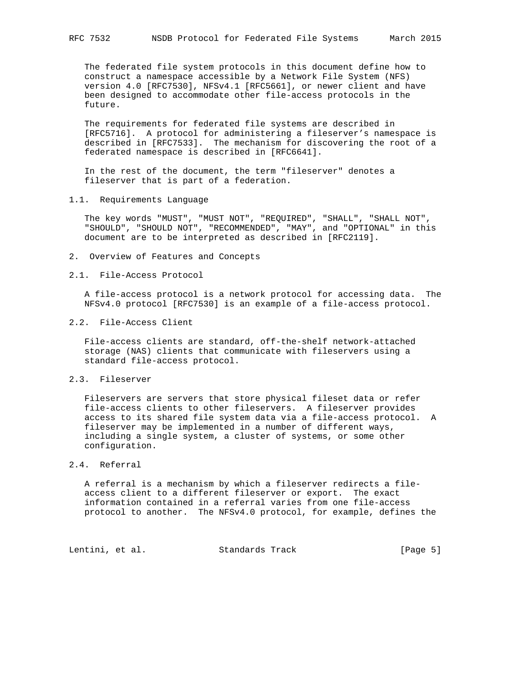The federated file system protocols in this document define how to construct a namespace accessible by a Network File System (NFS) version 4.0 [RFC7530], NFSv4.1 [RFC5661], or newer client and have been designed to accommodate other file-access protocols in the future.

 The requirements for federated file systems are described in [RFC5716]. A protocol for administering a fileserver's namespace is described in [RFC7533]. The mechanism for discovering the root of a federated namespace is described in [RFC6641].

 In the rest of the document, the term "fileserver" denotes a fileserver that is part of a federation.

1.1. Requirements Language

 The key words "MUST", "MUST NOT", "REQUIRED", "SHALL", "SHALL NOT", "SHOULD", "SHOULD NOT", "RECOMMENDED", "MAY", and "OPTIONAL" in this document are to be interpreted as described in [RFC2119].

- 2. Overview of Features and Concepts
- 2.1. File-Access Protocol

 A file-access protocol is a network protocol for accessing data. The NFSv4.0 protocol [RFC7530] is an example of a file-access protocol.

2.2. File-Access Client

 File-access clients are standard, off-the-shelf network-attached storage (NAS) clients that communicate with fileservers using a standard file-access protocol.

2.3. Fileserver

 Fileservers are servers that store physical fileset data or refer file-access clients to other fileservers. A fileserver provides access to its shared file system data via a file-access protocol. A fileserver may be implemented in a number of different ways, including a single system, a cluster of systems, or some other configuration.

### 2.4. Referral

 A referral is a mechanism by which a fileserver redirects a file access client to a different fileserver or export. The exact information contained in a referral varies from one file-access protocol to another. The NFSv4.0 protocol, for example, defines the

Lentini, et al. Standards Track [Page 5]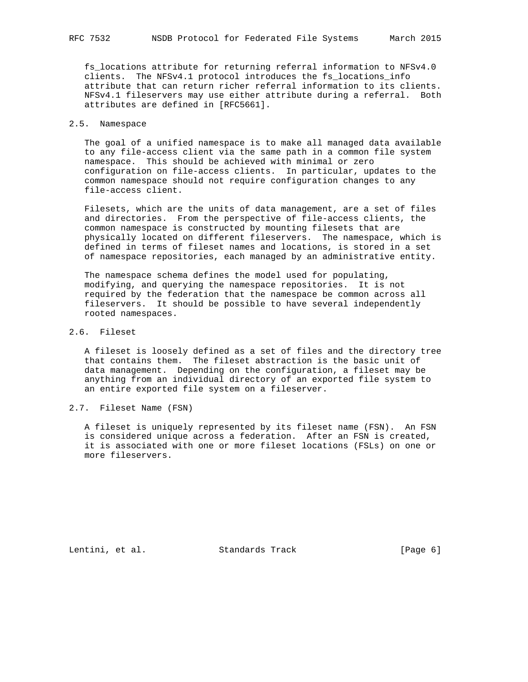fs\_locations attribute for returning referral information to NFSv4.0 clients. The NFSv4.1 protocol introduces the fs\_locations\_info attribute that can return richer referral information to its clients. NFSv4.1 fileservers may use either attribute during a referral. Both attributes are defined in [RFC5661].

### 2.5. Namespace

 The goal of a unified namespace is to make all managed data available to any file-access client via the same path in a common file system namespace. This should be achieved with minimal or zero configuration on file-access clients. In particular, updates to the common namespace should not require configuration changes to any file-access client.

 Filesets, which are the units of data management, are a set of files and directories. From the perspective of file-access clients, the common namespace is constructed by mounting filesets that are physically located on different fileservers. The namespace, which is defined in terms of fileset names and locations, is stored in a set of namespace repositories, each managed by an administrative entity.

 The namespace schema defines the model used for populating, modifying, and querying the namespace repositories. It is not required by the federation that the namespace be common across all fileservers. It should be possible to have several independently rooted namespaces.

## 2.6. Fileset

 A fileset is loosely defined as a set of files and the directory tree that contains them. The fileset abstraction is the basic unit of data management. Depending on the configuration, a fileset may be anything from an individual directory of an exported file system to an entire exported file system on a fileserver.

#### 2.7. Fileset Name (FSN)

 A fileset is uniquely represented by its fileset name (FSN). An FSN is considered unique across a federation. After an FSN is created, it is associated with one or more fileset locations (FSLs) on one or more fileservers.

Lentini, et al. Standards Track [Page 6]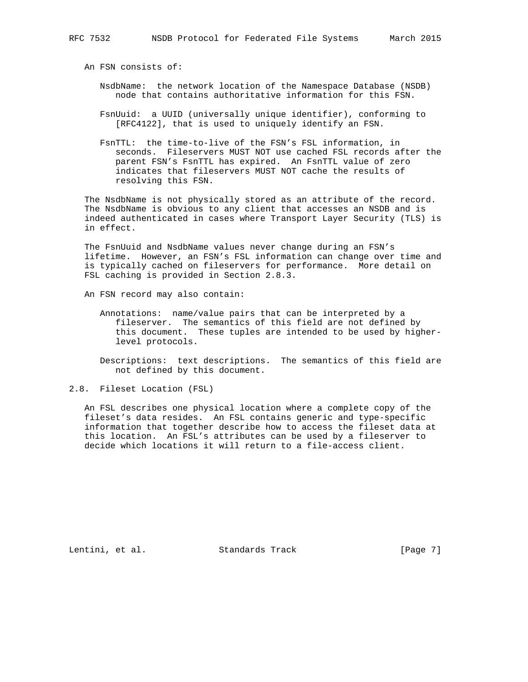An FSN consists of:

- NsdbName: the network location of the Namespace Database (NSDB) node that contains authoritative information for this FSN.
- FsnUuid: a UUID (universally unique identifier), conforming to [RFC4122], that is used to uniquely identify an FSN.
- FsnTTL: the time-to-live of the FSN's FSL information, in seconds. Fileservers MUST NOT use cached FSL records after the parent FSN's FsnTTL has expired. An FsnTTL value of zero indicates that fileservers MUST NOT cache the results of resolving this FSN.

 The NsdbName is not physically stored as an attribute of the record. The NsdbName is obvious to any client that accesses an NSDB and is indeed authenticated in cases where Transport Layer Security (TLS) is in effect.

 The FsnUuid and NsdbName values never change during an FSN's lifetime. However, an FSN's FSL information can change over time and is typically cached on fileservers for performance. More detail on FSL caching is provided in Section 2.8.3.

- An FSN record may also contain:
	- Annotations: name/value pairs that can be interpreted by a fileserver. The semantics of this field are not defined by this document. These tuples are intended to be used by higher level protocols.

 Descriptions: text descriptions. The semantics of this field are not defined by this document.

2.8. Fileset Location (FSL)

 An FSL describes one physical location where a complete copy of the fileset's data resides. An FSL contains generic and type-specific information that together describe how to access the fileset data at this location. An FSL's attributes can be used by a fileserver to decide which locations it will return to a file-access client.

Lentini, et al. Standards Track [Page 7]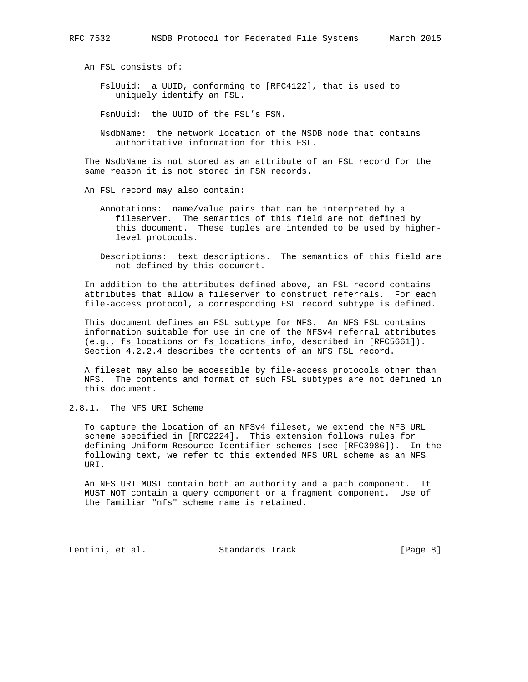An FSL consists of:

 FslUuid: a UUID, conforming to [RFC4122], that is used to uniquely identify an FSL.

FsnUuid: the UUID of the FSL's FSN.

 NsdbName: the network location of the NSDB node that contains authoritative information for this FSL.

 The NsdbName is not stored as an attribute of an FSL record for the same reason it is not stored in FSN records.

An FSL record may also contain:

- Annotations: name/value pairs that can be interpreted by a fileserver. The semantics of this field are not defined by this document. These tuples are intended to be used by higher level protocols.
- Descriptions: text descriptions. The semantics of this field are not defined by this document.

 In addition to the attributes defined above, an FSL record contains attributes that allow a fileserver to construct referrals. For each file-access protocol, a corresponding FSL record subtype is defined.

 This document defines an FSL subtype for NFS. An NFS FSL contains information suitable for use in one of the NFSv4 referral attributes (e.g., fs\_locations or fs\_locations\_info, described in [RFC5661]). Section 4.2.2.4 describes the contents of an NFS FSL record.

 A fileset may also be accessible by file-access protocols other than NFS. The contents and format of such FSL subtypes are not defined in this document.

2.8.1. The NFS URI Scheme

 To capture the location of an NFSv4 fileset, we extend the NFS URL scheme specified in [RFC2224]. This extension follows rules for defining Uniform Resource Identifier schemes (see [RFC3986]). In the following text, we refer to this extended NFS URL scheme as an NFS URI.

 An NFS URI MUST contain both an authority and a path component. It MUST NOT contain a query component or a fragment component. Use of the familiar "nfs" scheme name is retained.

Lentini, et al. Standards Track [Page 8]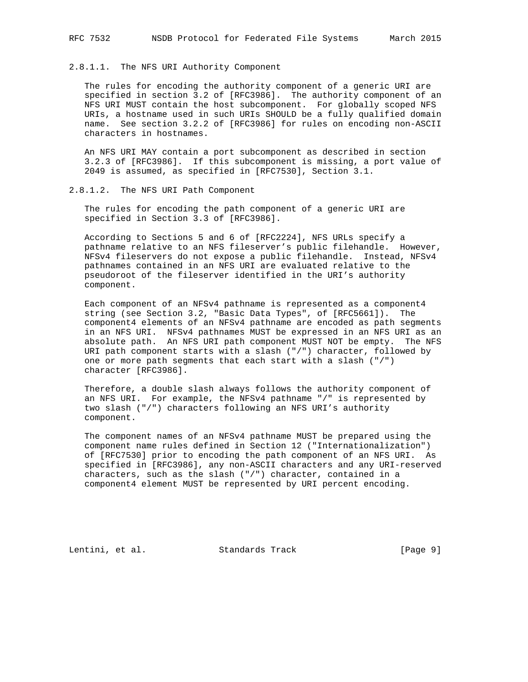#### 2.8.1.1. The NFS URI Authority Component

 The rules for encoding the authority component of a generic URI are specified in section 3.2 of [RFC3986]. The authority component of an NFS URI MUST contain the host subcomponent. For globally scoped NFS URIs, a hostname used in such URIs SHOULD be a fully qualified domain name. See section 3.2.2 of [RFC3986] for rules on encoding non-ASCII characters in hostnames.

 An NFS URI MAY contain a port subcomponent as described in section 3.2.3 of [RFC3986]. If this subcomponent is missing, a port value of 2049 is assumed, as specified in [RFC7530], Section 3.1.

#### 2.8.1.2. The NFS URI Path Component

 The rules for encoding the path component of a generic URI are specified in Section 3.3 of [RFC3986].

 According to Sections 5 and 6 of [RFC2224], NFS URLs specify a pathname relative to an NFS fileserver's public filehandle. However, NFSv4 fileservers do not expose a public filehandle. Instead, NFSv4 pathnames contained in an NFS URI are evaluated relative to the pseudoroot of the fileserver identified in the URI's authority component.

 Each component of an NFSv4 pathname is represented as a component4 string (see Section 3.2, "Basic Data Types", of [RFC5661]). The component4 elements of an NFSv4 pathname are encoded as path segments in an NFS URI. NFSv4 pathnames MUST be expressed in an NFS URI as an absolute path. An NFS URI path component MUST NOT be empty. The NFS URI path component starts with a slash ("/") character, followed by one or more path segments that each start with a slash ("/") character [RFC3986].

 Therefore, a double slash always follows the authority component of an NFS URI. For example, the NFSv4 pathname "/" is represented by two slash ("/") characters following an NFS URI's authority component.

 The component names of an NFSv4 pathname MUST be prepared using the component name rules defined in Section 12 ("Internationalization") of [RFC7530] prior to encoding the path component of an NFS URI. As specified in [RFC3986], any non-ASCII characters and any URI-reserved characters, such as the slash ("/") character, contained in a component4 element MUST be represented by URI percent encoding.

Lentini, et al. Standards Track [Page 9]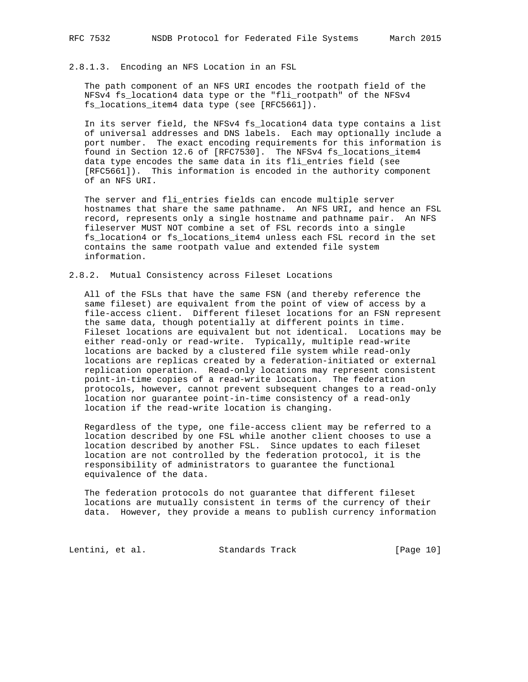2.8.1.3. Encoding an NFS Location in an FSL

 The path component of an NFS URI encodes the rootpath field of the NFSv4 fs\_location4 data type or the "fli\_rootpath" of the NFSv4 fs\_locations\_item4 data type (see [RFC5661]).

 In its server field, the NFSv4 fs\_location4 data type contains a list of universal addresses and DNS labels. Each may optionally include a port number. The exact encoding requirements for this information is found in Section 12.6 of [RFC7530]. The NFSv4 fs\_locations\_item4 data type encodes the same data in its fli\_entries field (see [RFC5661]). This information is encoded in the authority component of an NFS URI.

 The server and fli\_entries fields can encode multiple server hostnames that share the same pathname. An NFS URI, and hence an FSL record, represents only a single hostname and pathname pair. An NFS fileserver MUST NOT combine a set of FSL records into a single fs\_location4 or fs\_locations\_item4 unless each FSL record in the set contains the same rootpath value and extended file system information.

#### 2.8.2. Mutual Consistency across Fileset Locations

 All of the FSLs that have the same FSN (and thereby reference the same fileset) are equivalent from the point of view of access by a file-access client. Different fileset locations for an FSN represent the same data, though potentially at different points in time. Fileset locations are equivalent but not identical. Locations may be either read-only or read-write. Typically, multiple read-write locations are backed by a clustered file system while read-only locations are replicas created by a federation-initiated or external replication operation. Read-only locations may represent consistent point-in-time copies of a read-write location. The federation protocols, however, cannot prevent subsequent changes to a read-only location nor guarantee point-in-time consistency of a read-only location if the read-write location is changing.

 Regardless of the type, one file-access client may be referred to a location described by one FSL while another client chooses to use a location described by another FSL. Since updates to each fileset location are not controlled by the federation protocol, it is the responsibility of administrators to guarantee the functional equivalence of the data.

 The federation protocols do not guarantee that different fileset locations are mutually consistent in terms of the currency of their data. However, they provide a means to publish currency information

Lentini, et al. Standards Track [Page 10]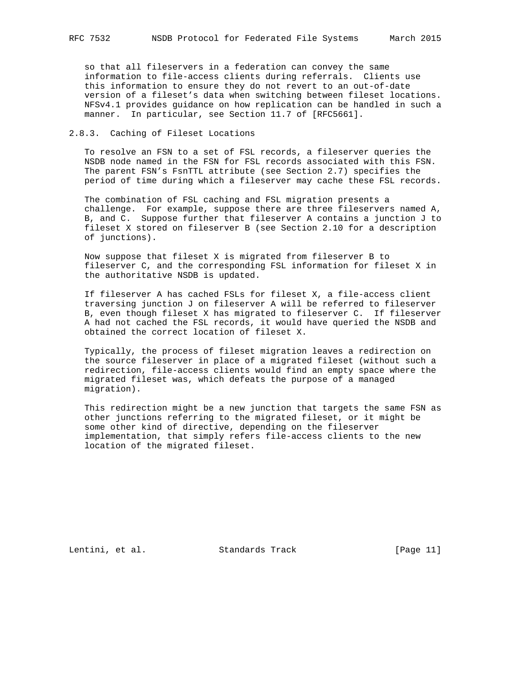so that all fileservers in a federation can convey the same information to file-access clients during referrals. Clients use this information to ensure they do not revert to an out-of-date version of a fileset's data when switching between fileset locations. NFSv4.1 provides guidance on how replication can be handled in such a manner. In particular, see Section 11.7 of [RFC5661].

### 2.8.3. Caching of Fileset Locations

 To resolve an FSN to a set of FSL records, a fileserver queries the NSDB node named in the FSN for FSL records associated with this FSN. The parent FSN's FsnTTL attribute (see Section 2.7) specifies the period of time during which a fileserver may cache these FSL records.

 The combination of FSL caching and FSL migration presents a challenge. For example, suppose there are three fileservers named A, B, and C. Suppose further that fileserver A contains a junction J to fileset X stored on fileserver B (see Section 2.10 for a description of junctions).

 Now suppose that fileset X is migrated from fileserver B to fileserver C, and the corresponding FSL information for fileset X in the authoritative NSDB is updated.

 If fileserver A has cached FSLs for fileset X, a file-access client traversing junction J on fileserver A will be referred to fileserver B, even though fileset X has migrated to fileserver C. If fileserver A had not cached the FSL records, it would have queried the NSDB and obtained the correct location of fileset X.

 Typically, the process of fileset migration leaves a redirection on the source fileserver in place of a migrated fileset (without such a redirection, file-access clients would find an empty space where the migrated fileset was, which defeats the purpose of a managed migration).

 This redirection might be a new junction that targets the same FSN as other junctions referring to the migrated fileset, or it might be some other kind of directive, depending on the fileserver implementation, that simply refers file-access clients to the new location of the migrated fileset.

Lentini, et al. Standards Track [Page 11]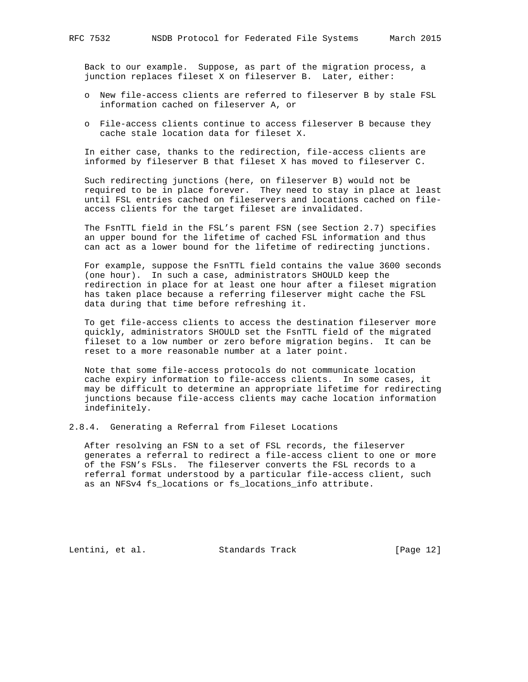Back to our example. Suppose, as part of the migration process, a junction replaces fileset X on fileserver B. Later, either:

- o New file-access clients are referred to fileserver B by stale FSL information cached on fileserver A, or
- o File-access clients continue to access fileserver B because they cache stale location data for fileset X.

 In either case, thanks to the redirection, file-access clients are informed by fileserver B that fileset X has moved to fileserver C.

 Such redirecting junctions (here, on fileserver B) would not be required to be in place forever. They need to stay in place at least until FSL entries cached on fileservers and locations cached on file access clients for the target fileset are invalidated.

 The FsnTTL field in the FSL's parent FSN (see Section 2.7) specifies an upper bound for the lifetime of cached FSL information and thus can act as a lower bound for the lifetime of redirecting junctions.

 For example, suppose the FsnTTL field contains the value 3600 seconds (one hour). In such a case, administrators SHOULD keep the redirection in place for at least one hour after a fileset migration has taken place because a referring fileserver might cache the FSL data during that time before refreshing it.

 To get file-access clients to access the destination fileserver more quickly, administrators SHOULD set the FsnTTL field of the migrated fileset to a low number or zero before migration begins. It can be reset to a more reasonable number at a later point.

 Note that some file-access protocols do not communicate location cache expiry information to file-access clients. In some cases, it may be difficult to determine an appropriate lifetime for redirecting junctions because file-access clients may cache location information indefinitely.

2.8.4. Generating a Referral from Fileset Locations

 After resolving an FSN to a set of FSL records, the fileserver generates a referral to redirect a file-access client to one or more of the FSN's FSLs. The fileserver converts the FSL records to a referral format understood by a particular file-access client, such as an NFSv4 fs\_locations or fs\_locations\_info attribute.

Lentini, et al. Standards Track [Page 12]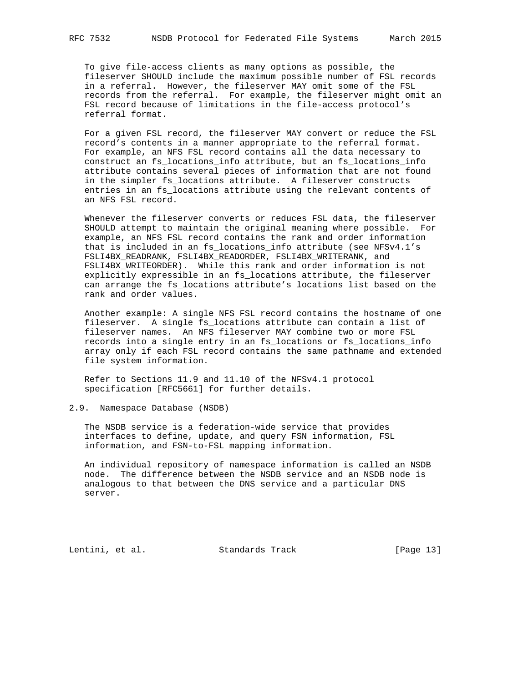To give file-access clients as many options as possible, the fileserver SHOULD include the maximum possible number of FSL records in a referral. However, the fileserver MAY omit some of the FSL records from the referral. For example, the fileserver might omit an FSL record because of limitations in the file-access protocol's referral format.

 For a given FSL record, the fileserver MAY convert or reduce the FSL record's contents in a manner appropriate to the referral format. For example, an NFS FSL record contains all the data necessary to construct an fs\_locations\_info attribute, but an fs\_locations\_info attribute contains several pieces of information that are not found in the simpler fs locations attribute. A fileserver constructs entries in an fs\_locations attribute using the relevant contents of an NFS FSL record.

 Whenever the fileserver converts or reduces FSL data, the fileserver SHOULD attempt to maintain the original meaning where possible. For example, an NFS FSL record contains the rank and order information that is included in an fs\_locations\_info attribute (see NFSv4.1's FSLI4BX\_READRANK, FSLI4BX\_READORDER, FSLI4BX\_WRITERANK, and FSLI4BX WRITEORDER). While this rank and order information is not explicitly expressible in an fs\_locations attribute, the fileserver can arrange the fs\_locations attribute's locations list based on the rank and order values.

 Another example: A single NFS FSL record contains the hostname of one fileserver. A single fs\_locations attribute can contain a list of fileserver names. An NFS fileserver MAY combine two or more FSL records into a single entry in an fs\_locations or fs\_locations\_info array only if each FSL record contains the same pathname and extended file system information.

 Refer to Sections 11.9 and 11.10 of the NFSv4.1 protocol specification [RFC5661] for further details.

2.9. Namespace Database (NSDB)

 The NSDB service is a federation-wide service that provides interfaces to define, update, and query FSN information, FSL information, and FSN-to-FSL mapping information.

 An individual repository of namespace information is called an NSDB node. The difference between the NSDB service and an NSDB node is analogous to that between the DNS service and a particular DNS server.

Lentini, et al. Standards Track [Page 13]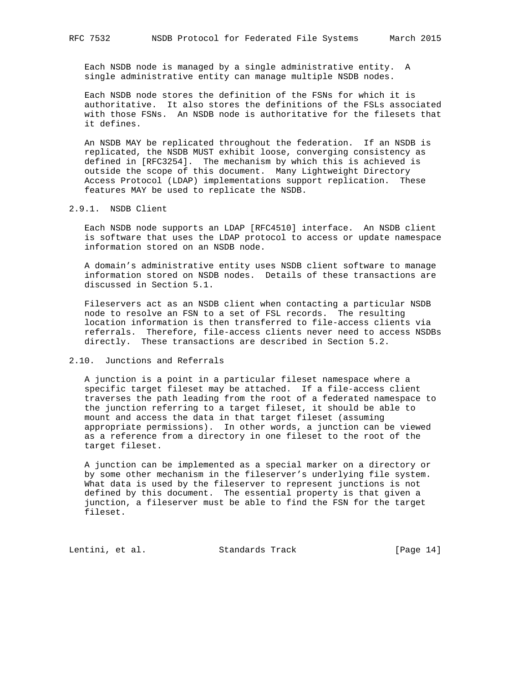Each NSDB node is managed by a single administrative entity. A single administrative entity can manage multiple NSDB nodes.

 Each NSDB node stores the definition of the FSNs for which it is authoritative. It also stores the definitions of the FSLs associated with those FSNs. An NSDB node is authoritative for the filesets that it defines.

 An NSDB MAY be replicated throughout the federation. If an NSDB is replicated, the NSDB MUST exhibit loose, converging consistency as defined in [RFC3254]. The mechanism by which this is achieved is outside the scope of this document. Many Lightweight Directory Access Protocol (LDAP) implementations support replication. These features MAY be used to replicate the NSDB.

## 2.9.1. NSDB Client

 Each NSDB node supports an LDAP [RFC4510] interface. An NSDB client is software that uses the LDAP protocol to access or update namespace information stored on an NSDB node.

 A domain's administrative entity uses NSDB client software to manage information stored on NSDB nodes. Details of these transactions are discussed in Section 5.1.

 Fileservers act as an NSDB client when contacting a particular NSDB node to resolve an FSN to a set of FSL records. The resulting location information is then transferred to file-access clients via referrals. Therefore, file-access clients never need to access NSDBs directly. These transactions are described in Section 5.2.

### 2.10. Junctions and Referrals

 A junction is a point in a particular fileset namespace where a specific target fileset may be attached. If a file-access client traverses the path leading from the root of a federated namespace to the junction referring to a target fileset, it should be able to mount and access the data in that target fileset (assuming appropriate permissions). In other words, a junction can be viewed as a reference from a directory in one fileset to the root of the target fileset.

 A junction can be implemented as a special marker on a directory or by some other mechanism in the fileserver's underlying file system. What data is used by the fileserver to represent junctions is not defined by this document. The essential property is that given a junction, a fileserver must be able to find the FSN for the target fileset.

Lentini, et al. Standards Track [Page 14]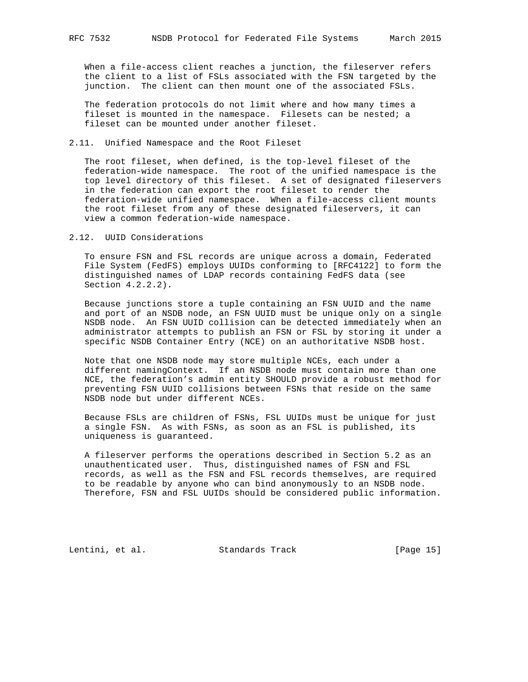When a file-access client reaches a junction, the fileserver refers the client to a list of FSLs associated with the FSN targeted by the junction. The client can then mount one of the associated FSLs.

 The federation protocols do not limit where and how many times a fileset is mounted in the namespace. Filesets can be nested; a fileset can be mounted under another fileset.

2.11. Unified Namespace and the Root Fileset

 The root fileset, when defined, is the top-level fileset of the federation-wide namespace. The root of the unified namespace is the top level directory of this fileset. A set of designated fileservers in the federation can export the root fileset to render the federation-wide unified namespace. When a file-access client mounts the root fileset from any of these designated fileservers, it can view a common federation-wide namespace.

2.12. UUID Considerations

 To ensure FSN and FSL records are unique across a domain, Federated File System (FedFS) employs UUIDs conforming to [RFC4122] to form the distinguished names of LDAP records containing FedFS data (see Section 4.2.2.2).

 Because junctions store a tuple containing an FSN UUID and the name and port of an NSDB node, an FSN UUID must be unique only on a single NSDB node. An FSN UUID collision can be detected immediately when an administrator attempts to publish an FSN or FSL by storing it under a specific NSDB Container Entry (NCE) on an authoritative NSDB host.

 Note that one NSDB node may store multiple NCEs, each under a different namingContext. If an NSDB node must contain more than one NCE, the federation's admin entity SHOULD provide a robust method for preventing FSN UUID collisions between FSNs that reside on the same NSDB node but under different NCEs.

 Because FSLs are children of FSNs, FSL UUIDs must be unique for just a single FSN. As with FSNs, as soon as an FSL is published, its uniqueness is guaranteed.

 A fileserver performs the operations described in Section 5.2 as an unauthenticated user. Thus, distinguished names of FSN and FSL records, as well as the FSN and FSL records themselves, are required to be readable by anyone who can bind anonymously to an NSDB node. Therefore, FSN and FSL UUIDs should be considered public information.

Lentini, et al. Standards Track [Page 15]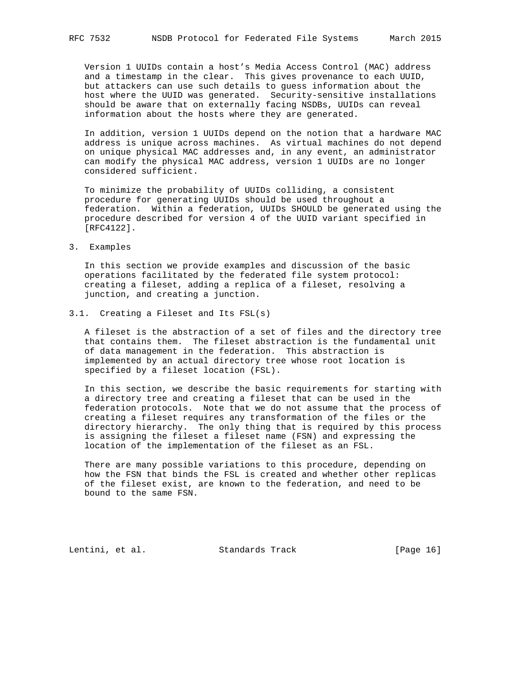Version 1 UUIDs contain a host's Media Access Control (MAC) address and a timestamp in the clear. This gives provenance to each UUID, but attackers can use such details to guess information about the host where the UUID was generated. Security-sensitive installations should be aware that on externally facing NSDBs, UUIDs can reveal information about the hosts where they are generated.

 In addition, version 1 UUIDs depend on the notion that a hardware MAC address is unique across machines. As virtual machines do not depend on unique physical MAC addresses and, in any event, an administrator can modify the physical MAC address, version 1 UUIDs are no longer considered sufficient.

 To minimize the probability of UUIDs colliding, a consistent procedure for generating UUIDs should be used throughout a federation. Within a federation, UUIDs SHOULD be generated using the procedure described for version 4 of the UUID variant specified in [RFC4122].

3. Examples

 In this section we provide examples and discussion of the basic operations facilitated by the federated file system protocol: creating a fileset, adding a replica of a fileset, resolving a junction, and creating a junction.

3.1. Creating a Fileset and Its FSL(s)

 A fileset is the abstraction of a set of files and the directory tree that contains them. The fileset abstraction is the fundamental unit of data management in the federation. This abstraction is implemented by an actual directory tree whose root location is specified by a fileset location (FSL).

 In this section, we describe the basic requirements for starting with a directory tree and creating a fileset that can be used in the federation protocols. Note that we do not assume that the process of creating a fileset requires any transformation of the files or the directory hierarchy. The only thing that is required by this process is assigning the fileset a fileset name (FSN) and expressing the location of the implementation of the fileset as an FSL.

 There are many possible variations to this procedure, depending on how the FSN that binds the FSL is created and whether other replicas of the fileset exist, are known to the federation, and need to be bound to the same FSN.

Lentini, et al. Standards Track [Page 16]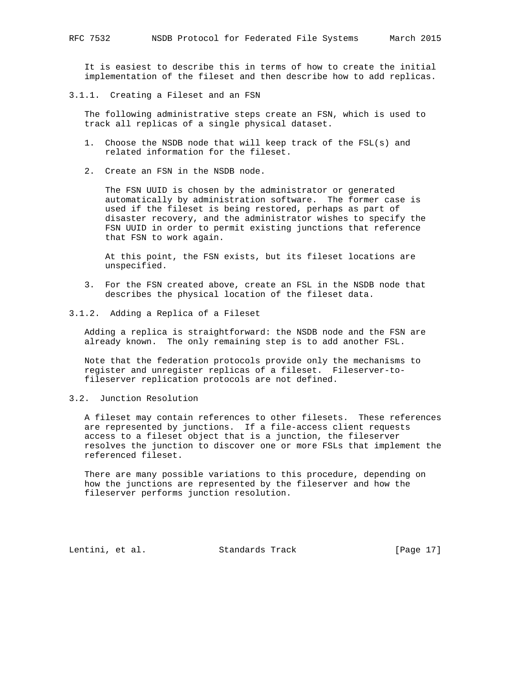It is easiest to describe this in terms of how to create the initial implementation of the fileset and then describe how to add replicas.

3.1.1. Creating a Fileset and an FSN

 The following administrative steps create an FSN, which is used to track all replicas of a single physical dataset.

- 1. Choose the NSDB node that will keep track of the FSL(s) and related information for the fileset.
- 2. Create an FSN in the NSDB node.

 The FSN UUID is chosen by the administrator or generated automatically by administration software. The former case is used if the fileset is being restored, perhaps as part of disaster recovery, and the administrator wishes to specify the FSN UUID in order to permit existing junctions that reference that FSN to work again.

 At this point, the FSN exists, but its fileset locations are unspecified.

- 3. For the FSN created above, create an FSL in the NSDB node that describes the physical location of the fileset data.
- 3.1.2. Adding a Replica of a Fileset

 Adding a replica is straightforward: the NSDB node and the FSN are already known. The only remaining step is to add another FSL.

 Note that the federation protocols provide only the mechanisms to register and unregister replicas of a fileset. Fileserver-to fileserver replication protocols are not defined.

3.2. Junction Resolution

 A fileset may contain references to other filesets. These references are represented by junctions. If a file-access client requests access to a fileset object that is a junction, the fileserver resolves the junction to discover one or more FSLs that implement the referenced fileset.

 There are many possible variations to this procedure, depending on how the junctions are represented by the fileserver and how the fileserver performs junction resolution.

Lentini, et al. Standards Track [Page 17]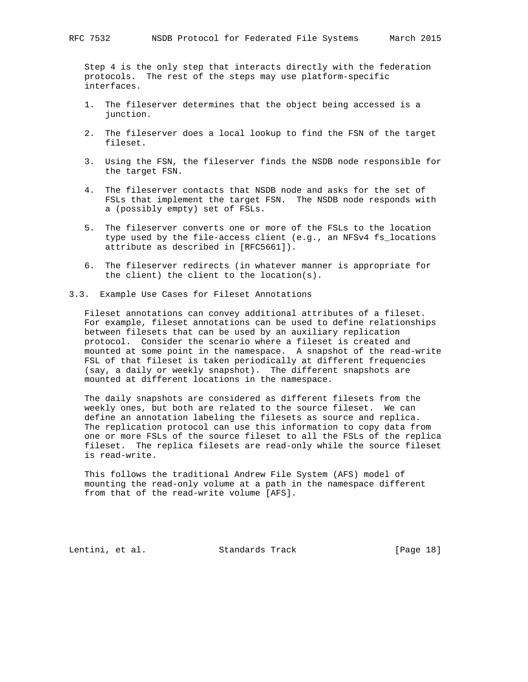Step 4 is the only step that interacts directly with the federation protocols. The rest of the steps may use platform-specific interfaces.

- 1. The fileserver determines that the object being accessed is a junction.
- 2. The fileserver does a local lookup to find the FSN of the target fileset.
- 3. Using the FSN, the fileserver finds the NSDB node responsible for the target FSN.
- 4. The fileserver contacts that NSDB node and asks for the set of FSLs that implement the target FSN. The NSDB node responds with a (possibly empty) set of FSLs.
- 5. The fileserver converts one or more of the FSLs to the location type used by the file-access client (e.g., an NFSv4 fs\_locations attribute as described in [RFC5661]).
- 6. The fileserver redirects (in whatever manner is appropriate for the client) the client to the location(s).
- 3.3. Example Use Cases for Fileset Annotations

 Fileset annotations can convey additional attributes of a fileset. For example, fileset annotations can be used to define relationships between filesets that can be used by an auxiliary replication protocol. Consider the scenario where a fileset is created and mounted at some point in the namespace. A snapshot of the read-write FSL of that fileset is taken periodically at different frequencies (say, a daily or weekly snapshot). The different snapshots are mounted at different locations in the namespace.

 The daily snapshots are considered as different filesets from the weekly ones, but both are related to the source fileset. We can define an annotation labeling the filesets as source and replica. The replication protocol can use this information to copy data from one or more FSLs of the source fileset to all the FSLs of the replica fileset. The replica filesets are read-only while the source fileset is read-write.

 This follows the traditional Andrew File System (AFS) model of mounting the read-only volume at a path in the namespace different from that of the read-write volume [AFS].

Lentini, et al. Standards Track [Page 18]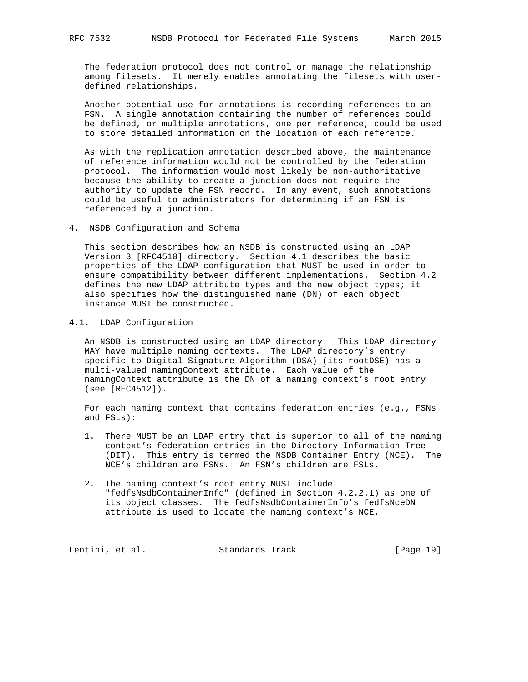The federation protocol does not control or manage the relationship among filesets. It merely enables annotating the filesets with user defined relationships.

 Another potential use for annotations is recording references to an FSN. A single annotation containing the number of references could be defined, or multiple annotations, one per reference, could be used to store detailed information on the location of each reference.

 As with the replication annotation described above, the maintenance of reference information would not be controlled by the federation protocol. The information would most likely be non-authoritative because the ability to create a junction does not require the authority to update the FSN record. In any event, such annotations could be useful to administrators for determining if an FSN is referenced by a junction.

4. NSDB Configuration and Schema

 This section describes how an NSDB is constructed using an LDAP Version 3 [RFC4510] directory. Section 4.1 describes the basic properties of the LDAP configuration that MUST be used in order to ensure compatibility between different implementations. Section 4.2 defines the new LDAP attribute types and the new object types; it also specifies how the distinguished name (DN) of each object instance MUST be constructed.

### 4.1. LDAP Configuration

 An NSDB is constructed using an LDAP directory. This LDAP directory MAY have multiple naming contexts. The LDAP directory's entry specific to Digital Signature Algorithm (DSA) (its rootDSE) has a multi-valued namingContext attribute. Each value of the namingContext attribute is the DN of a naming context's root entry (see [RFC4512]).

 For each naming context that contains federation entries (e.g., FSNs and FSLs):

- 1. There MUST be an LDAP entry that is superior to all of the naming context's federation entries in the Directory Information Tree (DIT). This entry is termed the NSDB Container Entry (NCE). The NCE's children are FSNs. An FSN's children are FSLs.
- 2. The naming context's root entry MUST include "fedfsNsdbContainerInfo" (defined in Section 4.2.2.1) as one of its object classes. The fedfsNsdbContainerInfo's fedfsNceDN attribute is used to locate the naming context's NCE.

Lentini, et al. Standards Track [Page 19]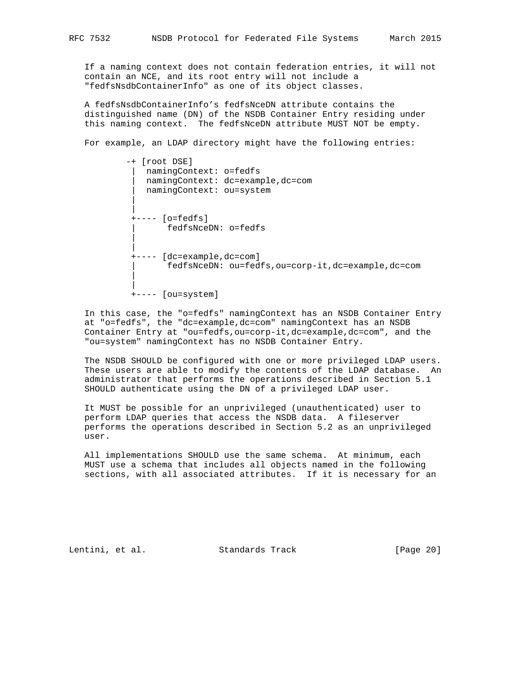If a naming context does not contain federation entries, it will not contain an NCE, and its root entry will not include a "fedfsNsdbContainerInfo" as one of its object classes.

 A fedfsNsdbContainerInfo's fedfsNceDN attribute contains the distinguished name (DN) of the NSDB Container Entry residing under this naming context. The fedfsNceDN attribute MUST NOT be empty.

For example, an LDAP directory might have the following entries:

| -+ [root DSE]                                        |
|------------------------------------------------------|
| namingContext: o=fedfs                               |
| namingContext: dc=example, dc=com                    |
| namingContext: ou=system                             |
|                                                      |
|                                                      |
| $+---$ [o=fedfs]                                     |
| fedfsNceDN: o=fedfs                                  |
|                                                      |
|                                                      |
| $+---$ [dc=example,dc=com]                           |
| fedfsNceDN: ou=fedfs, ou=corp-it, dc=example, dc=com |
|                                                      |
|                                                      |
| $+---$ [ou=system]                                   |

 In this case, the "o=fedfs" namingContext has an NSDB Container Entry at "o=fedfs", the "dc=example,dc=com" namingContext has an NSDB Container Entry at "ou=fedfs,ou=corp-it,dc=example,dc=com", and the "ou=system" namingContext has no NSDB Container Entry.

 The NSDB SHOULD be configured with one or more privileged LDAP users. These users are able to modify the contents of the LDAP database. An administrator that performs the operations described in Section 5.1 SHOULD authenticate using the DN of a privileged LDAP user.

 It MUST be possible for an unprivileged (unauthenticated) user to perform LDAP queries that access the NSDB data. A fileserver performs the operations described in Section 5.2 as an unprivileged user.

 All implementations SHOULD use the same schema. At minimum, each MUST use a schema that includes all objects named in the following sections, with all associated attributes. If it is necessary for an

Lentini, et al. Standards Track [Page 20]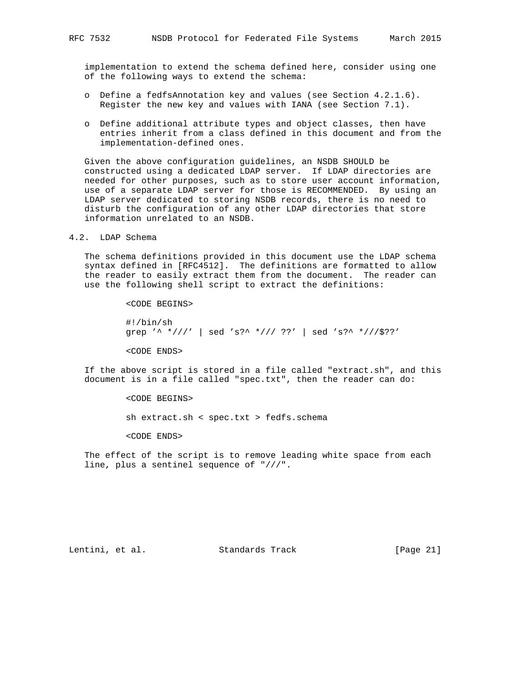implementation to extend the schema defined here, consider using one of the following ways to extend the schema:

- o Define a fedfsAnnotation key and values (see Section 4.2.1.6). Register the new key and values with IANA (see Section 7.1).
- o Define additional attribute types and object classes, then have entries inherit from a class defined in this document and from the implementation-defined ones.

 Given the above configuration guidelines, an NSDB SHOULD be constructed using a dedicated LDAP server. If LDAP directories are needed for other purposes, such as to store user account information, use of a separate LDAP server for those is RECOMMENDED. By using an LDAP server dedicated to storing NSDB records, there is no need to disturb the configuration of any other LDAP directories that store information unrelated to an NSDB.

### 4.2. LDAP Schema

 The schema definitions provided in this document use the LDAP schema syntax defined in [RFC4512]. The definitions are formatted to allow the reader to easily extract them from the document. The reader can use the following shell script to extract the definitions:

<CODE BEGINS>

```
 #!/bin/sh
 grep '^ *///' | sed 's?^ */// ??' | sed 's?^ *///$??'
```
<CODE ENDS>

 If the above script is stored in a file called "extract.sh", and this document is in a file called "spec.txt", then the reader can do:

<CODE BEGINS>

sh extract.sh < spec.txt > fedfs.schema

<CODE ENDS>

 The effect of the script is to remove leading white space from each line, plus a sentinel sequence of "///".

Lentini, et al. Standards Track [Page 21]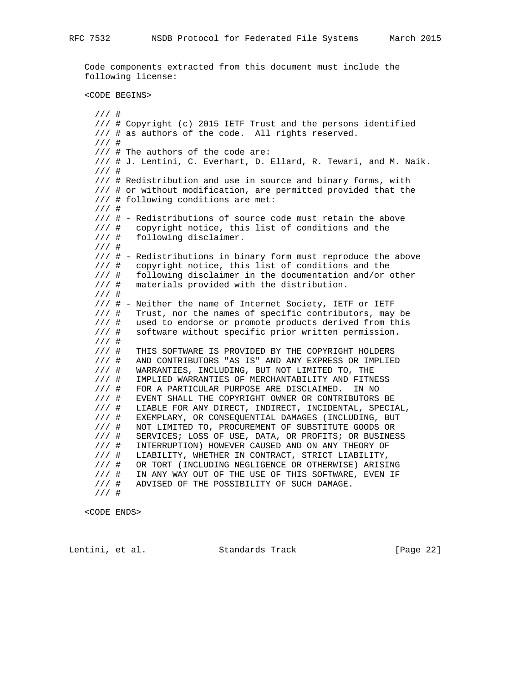Code components extracted from this document must include the following license:

```
 <CODE BEGINS>
```
 /// # /// # Copyright (c) 2015 IETF Trust and the persons identified /// # as authors of the code. All rights reserved. /// # /// # The authors of the code are: /// # J. Lentini, C. Everhart, D. Ellard, R. Tewari, and M. Naik. /// # /// # Redistribution and use in source and binary forms, with /// # or without modification, are permitted provided that the /// # following conditions are met: /// # /// # - Redistributions of source code must retain the above /// # copyright notice, this list of conditions and the /// # following disclaimer. /// # /// # - Redistributions in binary form must reproduce the above /// # copyright notice, this list of conditions and the /// # following disclaimer in the documentation and/or other /// # materials provided with the distribution. /// # /// # - Neither the name of Internet Society, IETF or IETF /// # Trust, nor the names of specific contributors, may be /// # used to endorse or promote products derived from this /// # software without specific prior written permission. /// # /// # THIS SOFTWARE IS PROVIDED BY THE COPYRIGHT HOLDERS /// # AND CONTRIBUTORS "AS IS" AND ANY EXPRESS OR IMPLIED /// # WARRANTIES, INCLUDING, BUT NOT LIMITED TO, THE /// # IMPLIED WARRANTIES OF MERCHANTABILITY AND FITNESS /// # FOR A PARTICULAR PURPOSE ARE DISCLAIMED. IN NO /// # EVENT SHALL THE COPYRIGHT OWNER OR CONTRIBUTORS BE /// # LIABLE FOR ANY DIRECT, INDIRECT, INCIDENTAL, SPECIAL, /// # EXEMPLARY, OR CONSEQUENTIAL DAMAGES (INCLUDING, BUT /// # NOT LIMITED TO, PROCUREMENT OF SUBSTITUTE GOODS OR /// # SERVICES; LOSS OF USE, DATA, OR PROFITS; OR BUSINESS /// # INTERRUPTION) HOWEVER CAUSED AND ON ANY THEORY OF /// # LIABILITY, WHETHER IN CONTRACT, STRICT LIABILITY, /// # OR TORT (INCLUDING NEGLIGENCE OR OTHERWISE) ARISING /// # IN ANY WAY OUT OF THE USE OF THIS SOFTWARE, EVEN IF /// # ADVISED OF THE POSSIBILITY OF SUCH DAMAGE. /// #

<CODE ENDS>

Lentini, et al. Standards Track [Page 22]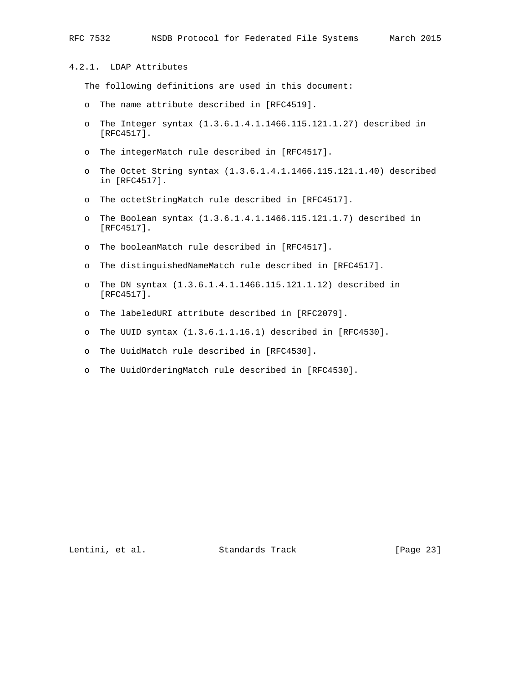## 4.2.1. LDAP Attributes

The following definitions are used in this document:

- o The name attribute described in [RFC4519].
- o The Integer syntax (1.3.6.1.4.1.1466.115.121.1.27) described in [RFC4517].
- o The integerMatch rule described in [RFC4517].
- o The Octet String syntax (1.3.6.1.4.1.1466.115.121.1.40) described in [RFC4517].
- o The octetStringMatch rule described in [RFC4517].
- o The Boolean syntax (1.3.6.1.4.1.1466.115.121.1.7) described in [RFC4517].
- o The booleanMatch rule described in [RFC4517].
- o The distinguishedNameMatch rule described in [RFC4517].
- o The DN syntax (1.3.6.1.4.1.1466.115.121.1.12) described in [RFC4517].
- o The labeledURI attribute described in [RFC2079].
- o The UUID syntax (1.3.6.1.1.16.1) described in [RFC4530].
- o The UuidMatch rule described in [RFC4530].
- o The UuidOrderingMatch rule described in [RFC4530].

Lentini, et al. Standards Track [Page 23]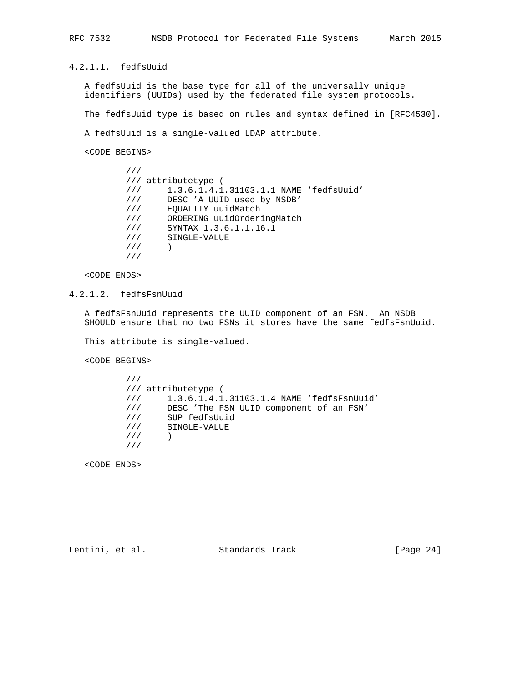4.2.1.1. fedfsUuid

 A fedfsUuid is the base type for all of the universally unique identifiers (UUIDs) used by the federated file system protocols.

The fedfsUuid type is based on rules and syntax defined in [RFC4530].

A fedfsUuid is a single-valued LDAP attribute.

<CODE BEGINS>

|     | /// attributetype (                    |  |
|-----|----------------------------------------|--|
| 111 | 1.3.6.1.4.1.31103.1.1 NAME 'fedfsUuid' |  |
| 111 | DESC 'A UUID used by NSDB'             |  |
| 111 | EQUALITY uuidMatch                     |  |
| 111 | ORDERING uuidOrderingMatch             |  |
| 111 | SYNTAX 1.3.6.1.1.16.1                  |  |
| 111 | SINGLE-VALUE                           |  |
| 111 |                                        |  |
|     |                                        |  |

<CODE ENDS>

4.2.1.2. fedfsFsnUuid

 A fedfsFsnUuid represents the UUID component of an FSN. An NSDB SHOULD ensure that no two FSNs it stores have the same fedfsFsnUuid.

This attribute is single-valued.

<CODE BEGINS>

 /// /// attributetype ( /// 1.3.6.1.4.1.31103.1.4 NAME 'fedfsFsnUuid' /// DESC 'The FSN UUID component of an FSN' /// SUP fedfsUuid /// SINGLE-VALUE  $\frac{1}{1}$  ) ///

<CODE ENDS>

Lentini, et al. Standards Track [Page 24]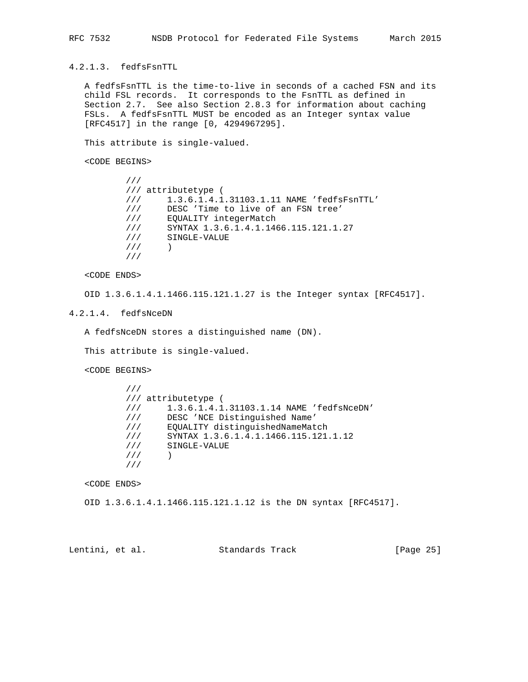4.2.1.3. fedfsFsnTTL

 A fedfsFsnTTL is the time-to-live in seconds of a cached FSN and its child FSL records. It corresponds to the FsnTTL as defined in Section 2.7. See also Section 2.8.3 for information about caching FSLs. A fedfsFsnTTL MUST be encoded as an Integer syntax value [RFC4517] in the range [0, 4294967295].

This attribute is single-valued.

<CODE BEGINS>

```
 ///
 /// attributetype (
 /// 1.3.6.1.4.1.31103.1.11 NAME 'fedfsFsnTTL'
 /// DESC 'Time to live of an FSN tree'
 /// EQUALITY integerMatch
 /// SYNTAX 1.3.6.1.4.1.1466.115.121.1.27
 /// SINGLE-VALUE
\frac{1}{1} )
        ///
```
<CODE ENDS>

OID 1.3.6.1.4.1.1466.115.121.1.27 is the Integer syntax [RFC4517].

## 4.2.1.4. fedfsNceDN

A fedfsNceDN stores a distinguished name (DN).

This attribute is single-valued.

<CODE BEGINS>

|     | /// attributetype                        |
|-----|------------------------------------------|
|     | 1.3.6.1.4.1.31103.1.14 NAME 'fedfsNceDN' |
| 111 | DESC 'NCE Distinguished Name'            |
| 111 | EQUALITY distinguishedNameMatch          |
| 111 | SYNTAX 1.3.6.1.4.1.1466.115.121.1.12     |
| 111 | SINGLE-VALUE                             |
|     |                                          |
|     |                                          |

#### <CODE ENDS>

OID 1.3.6.1.4.1.1466.115.121.1.12 is the DN syntax [RFC4517].

| Lentini, et al. | Standards Track | [Page 25] |
|-----------------|-----------------|-----------|
|-----------------|-----------------|-----------|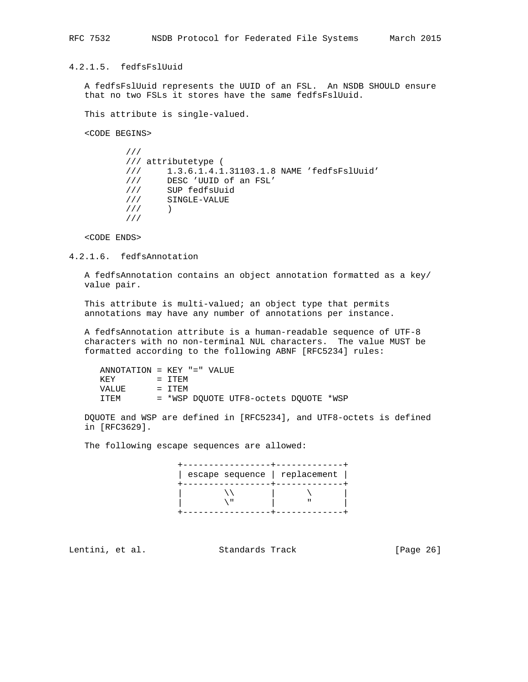### 4.2.1.5. fedfsFslUuid

 A fedfsFslUuid represents the UUID of an FSL. An NSDB SHOULD ensure that no two FSLs it stores have the same fedfsFslUuid.

This attribute is single-valued.

<CODE BEGINS>

| 111 |                                           |
|-----|-------------------------------------------|
|     | /// attributetype (                       |
|     | 1.3.6.1.4.1.31103.1.8 NAME 'fedfsFslUuid' |
| 111 | DESC 'UUID of an FSL'                     |
| 111 | SUP fedfsUuid                             |
| 111 | SINGLE-VALUE                              |
| 111 |                                           |
|     |                                           |

<CODE ENDS>

### 4.2.1.6. fedfsAnnotation

 A fedfsAnnotation contains an object annotation formatted as a key/ value pair.

 This attribute is multi-valued; an object type that permits annotations may have any number of annotations per instance.

 A fedfsAnnotation attribute is a human-readable sequence of UTF-8 characters with no non-terminal NUL characters. The value MUST be formatted according to the following ABNF [RFC5234] rules:

 ANNOTATION = KEY "=" VALUE  $KEY$  = ITEM VALUE = ITEM ITEM = \*WSP DQUOTE UTF8-octets DQUOTE \*WSP

 DQUOTE and WSP are defined in [RFC5234], and UTF8-octets is defined in [RFC3629].

The following escape sequences are allowed:

|  | escape sequence   replacement |
|--|-------------------------------|
|  |                               |

Lentini, et al. Standards Track [Page 26]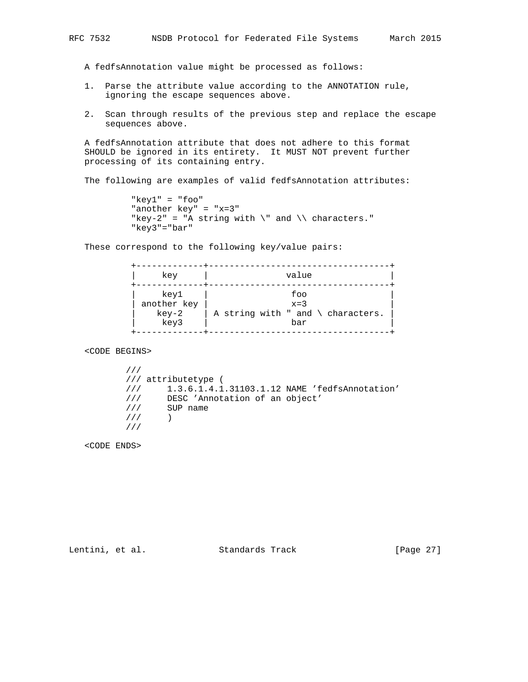A fedfsAnnotation value might be processed as follows:

- 1. Parse the attribute value according to the ANNOTATION rule, ignoring the escape sequences above.
- 2. Scan through results of the previous step and replace the escape sequences above.

 A fedfsAnnotation attribute that does not adhere to this format SHOULD be ignored in its entirety. It MUST NOT prevent further processing of its containing entry.

The following are examples of valid fedfsAnnotation attributes:

 "key1" = "foo" "another key" = "x=3" "key-2" = "A string with  $\lq$ " and  $\lq$  characters." "key3"="bar"

These correspond to the following key/value pairs:

| key                                  |
|--------------------------------------|
| key1<br>another key<br>key-2<br>key3 |

<CODE BEGINS>

 /// /// attributetype ( /// 1.3.6.1.4.1.31103.1.12 NAME 'fedfsAnnotation'<br>/// DESC 'Annotation of an object' DESC 'Annotation of an object' /// SUP name  $\frac{1}{1}$  ) ///

<CODE ENDS>

Lentini, et al. Standards Track [Page 27]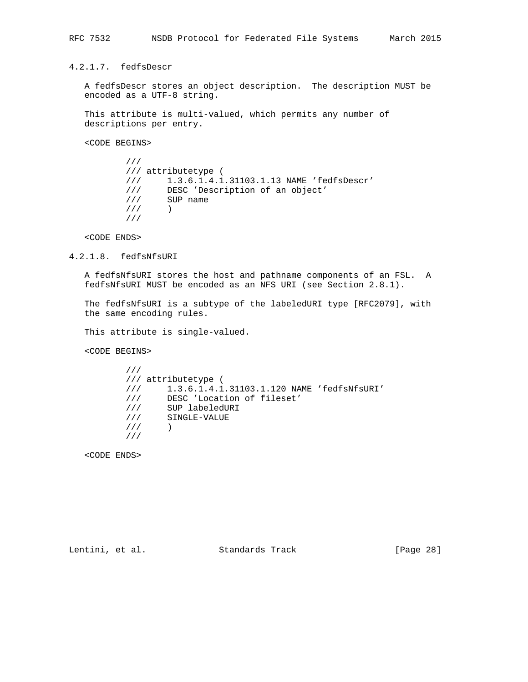4.2.1.7. fedfsDescr

 A fedfsDescr stores an object description. The description MUST be encoded as a UTF-8 string.

 This attribute is multi-valued, which permits any number of descriptions per entry.

<CODE BEGINS>

 /// /// attributetype ( /// 1.3.6.1.4.1.31103.1.13 NAME 'fedfsDescr' /// DESC 'Description of an object' /// SUP name  $\frac{1}{1}$  ) ///

<CODE ENDS>

4.2.1.8. fedfsNfsURI

 A fedfsNfsURI stores the host and pathname components of an FSL. A fedfsNfsURI MUST be encoded as an NFS URI (see Section 2.8.1).

 The fedfsNfsURI is a subtype of the labeledURI type [RFC2079], with the same encoding rules.

This attribute is single-valued.

<CODE BEGINS>

|     | /// attributetype (                        |  |
|-----|--------------------------------------------|--|
| 111 | 1.3.6.1.4.1.31103.1.120 NAME 'fedfsNfsURI' |  |
| 111 | DESC 'Location of fileset'                 |  |
| 111 | SUP labeledURI                             |  |
| 111 | SINGLE-VALUE                               |  |
| 111 |                                            |  |
|     |                                            |  |

<CODE ENDS>

Lentini, et al. Standards Track [Page 28]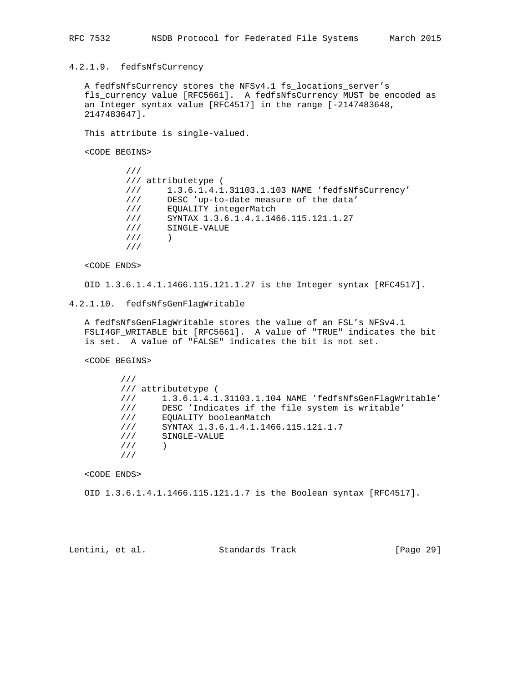4.2.1.9. fedfsNfsCurrency

 A fedfsNfsCurrency stores the NFSv4.1 fs\_locations\_server's fls\_currency value [RFC5661]. A fedfsNfsCurrency MUST be encoded as an Integer syntax value [RFC4517] in the range [-2147483648, 2147483647].

This attribute is single-valued.

<CODE BEGINS>

```
 ///
         /// attributetype (
         /// 1.3.6.1.4.1.31103.1.103 NAME 'fedfsNfsCurrency'
 /// DESC 'up-to-date measure of the data'
 /// EQUALITY integerMatch
 /// SYNTAX 1.3.6.1.4.1.1466.115.121.1.27
 /// SINGLE-VALUE
\frac{1}{1} )
         ///
```
<CODE ENDS>

OID 1.3.6.1.4.1.1466.115.121.1.27 is the Integer syntax [RFC4517].

#### 4.2.1.10. fedfsNfsGenFlagWritable

 A fedfsNfsGenFlagWritable stores the value of an FSL's NFSv4.1 FSLI4GF\_WRITABLE bit [RFC5661]. A value of "TRUE" indicates the bit is set. A value of "FALSE" indicates the bit is not set.

<CODE BEGINS>

 /// /// attributetype ( /// 1.3.6.1.4.1.31103.1.104 NAME 'fedfsNfsGenFlagWritable'<br>/// DESC 'Indicates if the file system is writable' DESC 'Indicates if the file system is writable' /// EQUALITY booleanMatch /// SYNTAX 1.3.6.1.4.1.1466.115.121.1.7 /// SINGLE-VALUE  $\frac{1}{1}$  ) ///

<CODE ENDS>

OID 1.3.6.1.4.1.1466.115.121.1.7 is the Boolean syntax [RFC4517].

Lentini, et al. Standards Track [Page 29]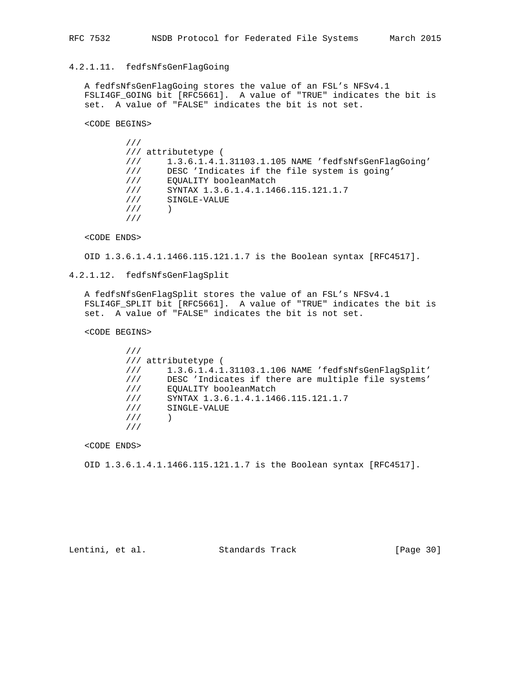## 4.2.1.11. fedfsNfsGenFlagGoing

 A fedfsNfsGenFlagGoing stores the value of an FSL's NFSv4.1 FSLI4GF\_GOING bit [RFC5661]. A value of "TRUE" indicates the bit is set. A value of "FALSE" indicates the bit is not set.

<CODE BEGINS>

 /// /// attributetype ( /// 1.3.6.1.4.1.31103.1.105 NAME 'fedfsNfsGenFlagGoing' /// DESC 'Indicates if the file system is going' /// EQUALITY booleanMatch /// SYNTAX 1.3.6.1.4.1.1466.115.121.1.7 /// SINGLE-VALUE  $\frac{1}{1}$  ) ///

<CODE ENDS>

OID 1.3.6.1.4.1.1466.115.121.1.7 is the Boolean syntax [RFC4517].

#### 4.2.1.12. fedfsNfsGenFlagSplit

 A fedfsNfsGenFlagSplit stores the value of an FSL's NFSv4.1 FSLI4GF\_SPLIT bit [RFC5661]. A value of "TRUE" indicates the bit is set. A value of "FALSE" indicates the bit is not set.

<CODE BEGINS>

|     | /// attributetype (                                   |
|-----|-------------------------------------------------------|
| 111 | $1.3.6.1.4.1.31103.1.106$ NAME 'fedfsNfsGenFlaqSplit' |
| 111 | DESC 'Indicates if there are multiple file systems'   |
| 111 | EOUALITY booleanMatch                                 |
| 111 | SYNTAX 1.3.6.1.4.1.1466.115.121.1.7                   |
| 111 | SINGLE-VALUE                                          |
|     |                                                       |
|     |                                                       |

<CODE ENDS>

OID 1.3.6.1.4.1.1466.115.121.1.7 is the Boolean syntax [RFC4517].

Lentini, et al. Standards Track [Page 30]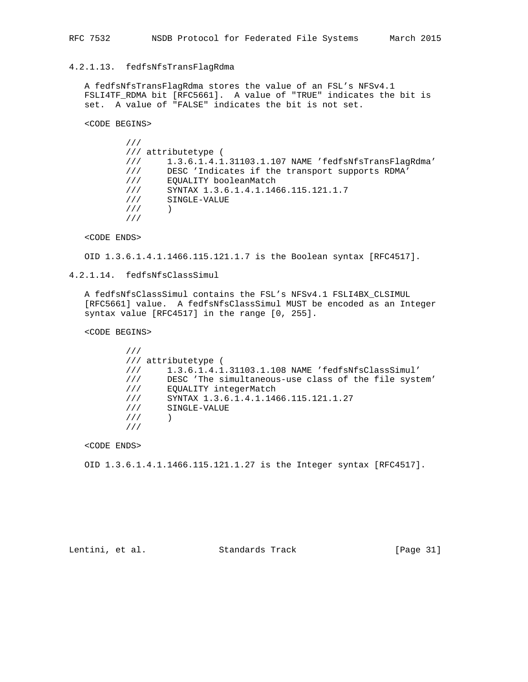## 4.2.1.13. fedfsNfsTransFlagRdma

 A fedfsNfsTransFlagRdma stores the value of an FSL's NFSv4.1 FSLI4TF RDMA bit [RFC5661]. A value of "TRUE" indicates the bit is set. A value of "FALSE" indicates the bit is not set.

<CODE BEGINS>

 /// /// attributetype ( /// 1.3.6.1.4.1.31103.1.107 NAME 'fedfsNfsTransFlagRdma'<br>/// DESC 'Indicates if the transport supports RDMA' DESC 'Indicates if the transport supports RDMA' /// EQUALITY booleanMatch /// SYNTAX 1.3.6.1.4.1.1466.115.121.1.7 /// SINGLE-VALUE  $\frac{1}{1}$  ) ///

<CODE ENDS>

OID 1.3.6.1.4.1.1466.115.121.1.7 is the Boolean syntax [RFC4517].

## 4.2.1.14. fedfsNfsClassSimul

 A fedfsNfsClassSimul contains the FSL's NFSv4.1 FSLI4BX\_CLSIMUL [RFC5661] value. A fedfsNfsClassSimul MUST be encoded as an Integer syntax value [RFC4517] in the range [0, 255].

<CODE BEGINS>

|     | /// attributetype                                    |
|-----|------------------------------------------------------|
| 111 | 1.3.6.1.4.1.31103.1.108 NAME 'fedfsNfsClassSimul'    |
| 111 | DESC 'The simultaneous-use class of the file system' |
| 111 | EOUALITY integerMatch                                |
| 111 | SYNTAX 1.3.6.1.4.1.1466.115.121.1.27                 |
| 111 | SINGLE-VALUE                                         |
|     |                                                      |
|     |                                                      |

<CODE ENDS>

OID 1.3.6.1.4.1.1466.115.121.1.27 is the Integer syntax [RFC4517].

Lentini, et al. Standards Track [Page 31]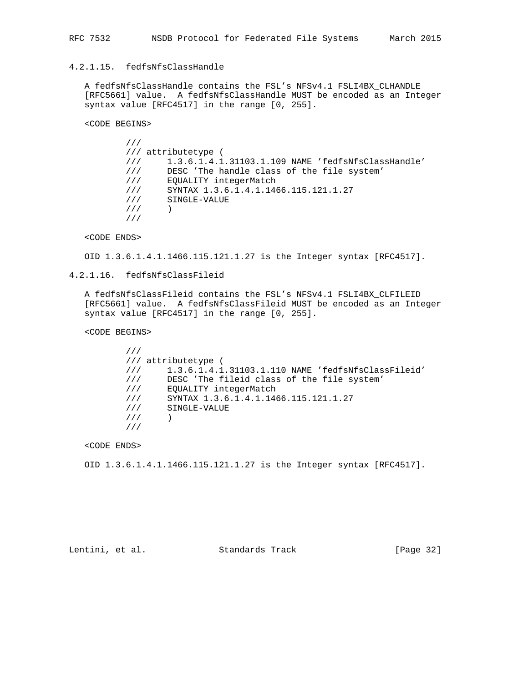## 4.2.1.15. fedfsNfsClassHandle

 A fedfsNfsClassHandle contains the FSL's NFSv4.1 FSLI4BX\_CLHANDLE [RFC5661] value. A fedfsNfsClassHandle MUST be encoded as an Integer syntax value [RFC4517] in the range [0, 255].

<CODE BEGINS>

|     | /// attributetype (                                  |
|-----|------------------------------------------------------|
| 111 | $1.3.6.1.4.1.31103.1.109$ NAME 'fedfsNfsClassHandle' |
| 111 | DESC 'The handle class of the file system'           |
| 111 | EOUALITY integerMatch                                |
| 111 | SYNTAX 1.3.6.1.4.1.1466.115.121.1.27                 |
| 111 | SINGLE-VALUE                                         |
| 111 |                                                      |
|     |                                                      |

<CODE ENDS>

OID 1.3.6.1.4.1.1466.115.121.1.27 is the Integer syntax [RFC4517].

## 4.2.1.16. fedfsNfsClassFileid

 A fedfsNfsClassFileid contains the FSL's NFSv4.1 FSLI4BX\_CLFILEID [RFC5661] value. A fedfsNfsClassFileid MUST be encoded as an Integer syntax value [RFC4517] in the range [0, 255].

<CODE BEGINS>

|     | /// attributetype (                                  |
|-----|------------------------------------------------------|
| 111 | $1.3.6.1.4.1.31103.1.110$ NAME 'fedfsNfsClassFileid' |
| 111 | DESC 'The fileid class of the file system'           |
| 111 | EOUALITY integerMatch                                |
| 111 | SYNTAX 1.3.6.1.4.1.1466.115.121.1.27                 |
| 111 | SINGLE-VALUE                                         |
|     |                                                      |
|     |                                                      |

<CODE ENDS>

OID 1.3.6.1.4.1.1466.115.121.1.27 is the Integer syntax [RFC4517].

Lentini, et al. Standards Track [Page 32]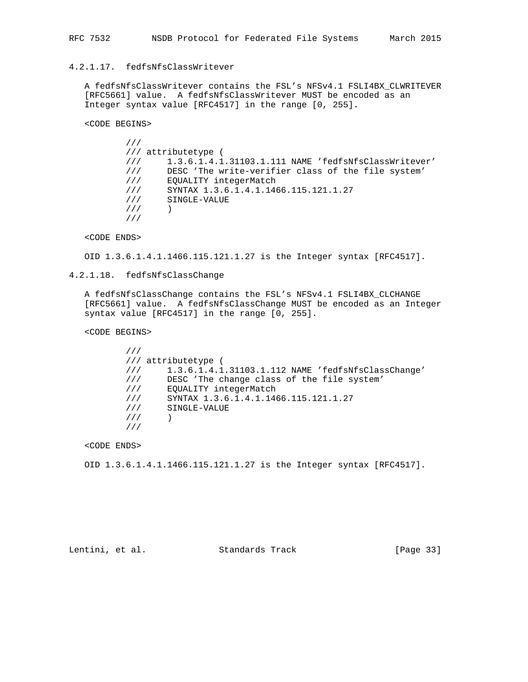## 4.2.1.17. fedfsNfsClassWritever

 A fedfsNfsClassWritever contains the FSL's NFSv4.1 FSLI4BX\_CLWRITEVER [RFC5661] value. A fedfsNfsClassWritever MUST be encoded as an Integer syntax value [RFC4517] in the range [0, 255].

<CODE BEGINS>

```
 ///
            /// attributetype (
          /// 1.3.6.1.4.1.31103.1.111 NAME 'fedfsNfsClassWritever'<br>/// DESC 'The write-verifier class of the file system'
                 DESC 'The write-verifier class of the file system'
 /// EQUALITY integerMatch
 /// SYNTAX 1.3.6.1.4.1.1466.115.121.1.27
 /// SINGLE-VALUE
\frac{1}{1} )
            ///
```
<CODE ENDS>

OID 1.3.6.1.4.1.1466.115.121.1.27 is the Integer syntax [RFC4517].

### 4.2.1.18. fedfsNfsClassChange

 A fedfsNfsClassChange contains the FSL's NFSv4.1 FSLI4BX\_CLCHANGE [RFC5661] value. A fedfsNfsClassChange MUST be encoded as an Integer syntax value [RFC4517] in the range [0, 255].

<CODE BEGINS>

|     | /// attributetype (                                |
|-----|----------------------------------------------------|
| 111 | 1.3.6.1.4.1.31103.1.112 NAME 'fedfsNfsClassChange' |
| 111 | DESC 'The change class of the file system'         |
| 111 | EOUALITY integerMatch                              |
| 111 | SYNTAX 1.3.6.1.4.1.1466.115.121.1.27               |
| 111 | SINGLE-VALUE                                       |
|     |                                                    |
|     |                                                    |

<CODE ENDS>

OID 1.3.6.1.4.1.1466.115.121.1.27 is the Integer syntax [RFC4517].

Lentini, et al. Standards Track [Page 33]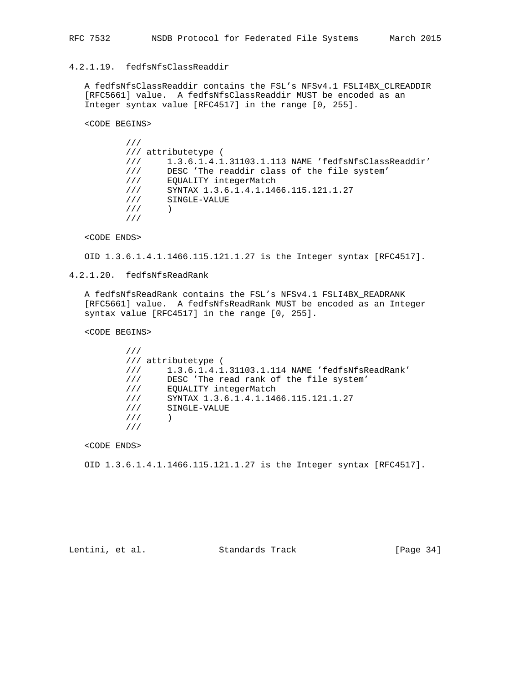## 4.2.1.19. fedfsNfsClassReaddir

 A fedfsNfsClassReaddir contains the FSL's NFSv4.1 FSLI4BX\_CLREADDIR [RFC5661] value. A fedfsNfsClassReaddir MUST be encoded as an Integer syntax value [RFC4517] in the range [0, 255].

<CODE BEGINS>

```
 ///
         /// attributetype (
         /// 1.3.6.1.4.1.31103.1.113 NAME 'fedfsNfsClassReaddir'
 /// DESC 'The readdir class of the file system'
 /// EQUALITY integerMatch
 /// SYNTAX 1.3.6.1.4.1.1466.115.121.1.27
 /// SINGLE-VALUE
\frac{1}{1} )
         ///
```
<CODE ENDS>

OID 1.3.6.1.4.1.1466.115.121.1.27 is the Integer syntax [RFC4517].

#### 4.2.1.20. fedfsNfsReadRank

 A fedfsNfsReadRank contains the FSL's NFSv4.1 FSLI4BX\_READRANK [RFC5661] value. A fedfsNfsReadRank MUST be encoded as an Integer syntax value [RFC4517] in the range [0, 255].

<CODE BEGINS>

|     | /// attributetype (                             |
|-----|-------------------------------------------------|
| 111 | 1.3.6.1.4.1.31103.1.114 NAME 'fedfsNfsReadRank' |
| 111 | DESC 'The read rank of the file system'         |
| 111 | EOUALITY integerMatch                           |
| 111 | SYNTAX 1.3.6.1.4.1.1466.115.121.1.27            |
| 111 | SINGLE-VALUE                                    |
| 111 |                                                 |
|     |                                                 |

<CODE ENDS>

OID 1.3.6.1.4.1.1466.115.121.1.27 is the Integer syntax [RFC4517].

Lentini, et al. Standards Track [Page 34]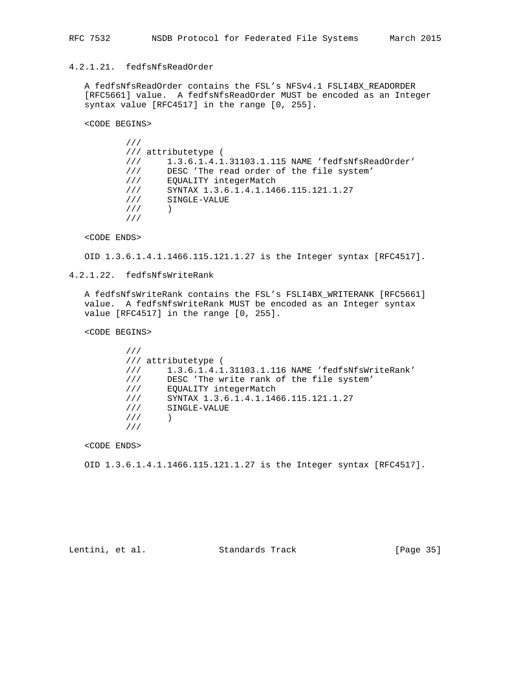### 4.2.1.21. fedfsNfsReadOrder

 A fedfsNfsReadOrder contains the FSL's NFSv4.1 FSLI4BX\_READORDER [RFC5661] value. A fedfsNfsReadOrder MUST be encoded as an Integer syntax value [RFC4517] in the range [0, 255].

<CODE BEGINS>

 /// /// attributetype ( /// 1.3.6.1.4.1.31103.1.115 NAME 'fedfsNfsReadOrder' /// DESC 'The read order of the file system' /// EQUALITY integerMatch /// SYNTAX 1.3.6.1.4.1.1466.115.121.1.27 /// SINGLE-VALUE  $\frac{1}{1}$  ) ///

<CODE ENDS>

OID 1.3.6.1.4.1.1466.115.121.1.27 is the Integer syntax [RFC4517].

## 4.2.1.22. fedfsNfsWriteRank

 A fedfsNfsWriteRank contains the FSL's FSLI4BX\_WRITERANK [RFC5661] value. A fedfsNfsWriteRank MUST be encoded as an Integer syntax value [RFC4517] in the range [0, 255].

<CODE BEGINS>

|     | /// attributetype (                              |
|-----|--------------------------------------------------|
| 111 | 1.3.6.1.4.1.31103.1.116 NAME 'fedfsNfsWriteRank' |
| 111 | DESC 'The write rank of the file system'         |
| 111 | EOUALITY integerMatch                            |
| 111 | SYNTAX 1.3.6.1.4.1.1466.115.121.1.27             |
| 111 | SINGLE-VALUE                                     |
|     |                                                  |
|     |                                                  |

<CODE ENDS>

OID 1.3.6.1.4.1.1466.115.121.1.27 is the Integer syntax [RFC4517].

Lentini, et al. Standards Track [Page 35]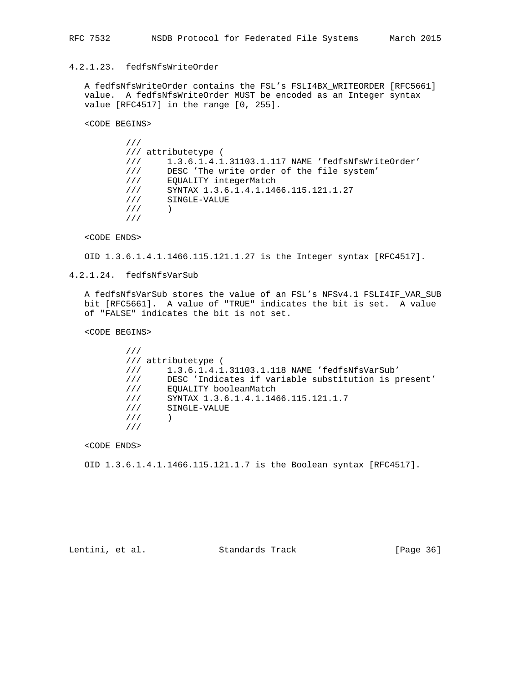## 4.2.1.23. fedfsNfsWriteOrder

 A fedfsNfsWriteOrder contains the FSL's FSLI4BX\_WRITEORDER [RFC5661] value. A fedfsNfsWriteOrder MUST be encoded as an Integer syntax value [RFC4517] in the range [0, 255].

<CODE BEGINS>

```
 ///
         /// attributetype (
         /// 1.3.6.1.4.1.31103.1.117 NAME 'fedfsNfsWriteOrder'
 /// DESC 'The write order of the file system'
 /// EQUALITY integerMatch
 /// SYNTAX 1.3.6.1.4.1.1466.115.121.1.27
 /// SINGLE-VALUE
\frac{1}{1} )
         ///
```
<CODE ENDS>

OID 1.3.6.1.4.1.1466.115.121.1.27 is the Integer syntax [RFC4517].

## 4.2.1.24. fedfsNfsVarSub

 A fedfsNfsVarSub stores the value of an FSL's NFSv4.1 FSLI4IF\_VAR\_SUB bit [RFC5661]. A value of "TRUE" indicates the bit is set. A value of "FALSE" indicates the bit is not set.

<CODE BEGINS>

|     | /// attributetype                                    |
|-----|------------------------------------------------------|
| 111 | 1.3.6.1.4.1.31103.1.118 NAME 'fedfsNfsVarSub'        |
| 111 | DESC 'Indicates if variable substitution is present' |
| 111 | EOUALITY booleanMatch                                |
| 111 | SYNTAX 1.3.6.1.4.1.1466.115.121.1.7                  |
| 111 | SINGLE-VALUE                                         |
|     |                                                      |
|     |                                                      |

<CODE ENDS>

OID 1.3.6.1.4.1.1466.115.121.1.7 is the Boolean syntax [RFC4517].

Lentini, et al. Standards Track [Page 36]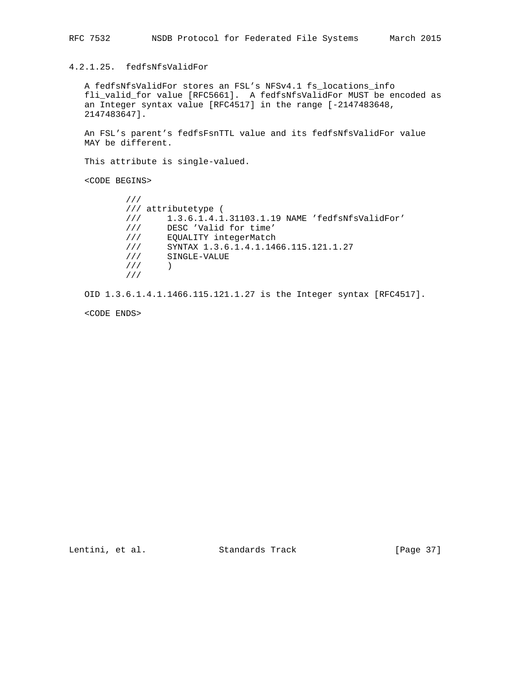4.2.1.25. fedfsNfsValidFor

 A fedfsNfsValidFor stores an FSL's NFSv4.1 fs\_locations\_info fli\_valid\_for value [RFC5661]. A fedfsNfsValidFor MUST be encoded as an Integer syntax value [RFC4517] in the range [-2147483648, 2147483647].

 An FSL's parent's fedfsFsnTTL value and its fedfsNfsValidFor value MAY be different.

This attribute is single-valued.

<CODE BEGINS>

 /// /// attributetype ( /// 1.3.6.1.4.1.31103.1.19 NAME 'fedfsNfsValidFor' /// DESC 'Valid for time' /// EQUALITY integerMatch /// SYNTAX 1.3.6.1.4.1.1466.115.121.1.27 /// SINGLE-VALUE  $\frac{1}{1}$  ) ///

OID 1.3.6.1.4.1.1466.115.121.1.27 is the Integer syntax [RFC4517].

<CODE ENDS>

Lentini, et al. Standards Track [Page 37]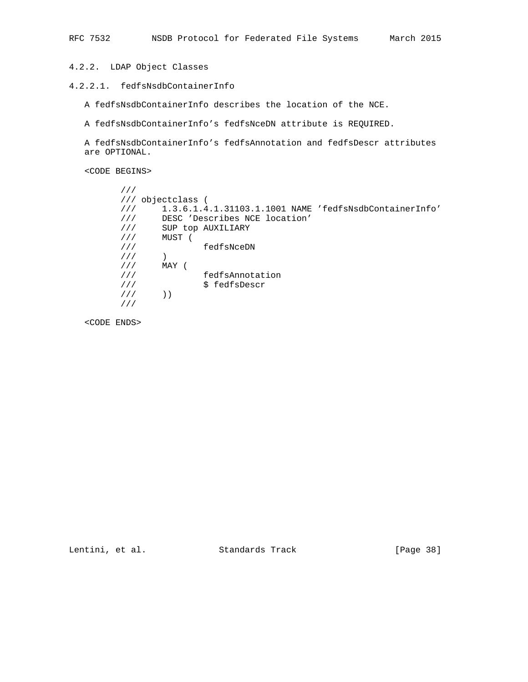## 4.2.2. LDAP Object Classes

## 4.2.2.1. fedfsNsdbContainerInfo

A fedfsNsdbContainerInfo describes the location of the NCE.

A fedfsNsdbContainerInfo's fedfsNceDN attribute is REQUIRED.

 A fedfsNsdbContainerInfo's fedfsAnnotation and fedfsDescr attributes are OPTIONAL.

<CODE BEGINS>

```
 ///
       /// objectclass (
       /// 1.3.6.1.4.1.31103.1.1001 NAME 'fedfsNsdbContainerInfo'
 /// DESC 'Describes NCE location'
 /// SUP top AUXILIARY
 /// MUST (
 /// fedfsNceDN
\frac{1}{1} )
 /// MAY (
 /// fedfsAnnotation
       /// $ fedfsDescr
      \frac{1}{11} ))
       ///
```
<CODE ENDS>

Lentini, et al. Standards Track [Page 38]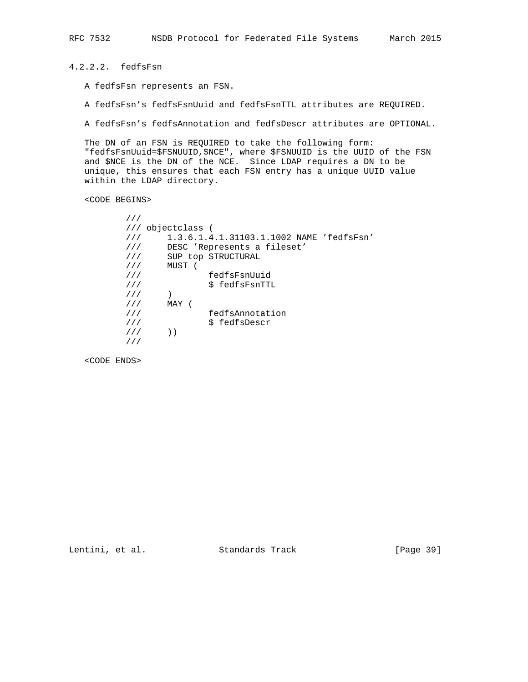4.2.2.2. fedfsFsn

A fedfsFsn represents an FSN.

A fedfsFsn's fedfsFsnUuid and fedfsFsnTTL attributes are REQUIRED.

A fedfsFsn's fedfsAnnotation and fedfsDescr attributes are OPTIONAL.

 The DN of an FSN is REQUIRED to take the following form: "fedfsFsnUuid=\$FSNUUID,\$NCE", where \$FSNUUID is the UUID of the FSN and \$NCE is the DN of the NCE. Since LDAP requires a DN to be unique, this ensures that each FSN entry has a unique UUID value within the LDAP directory.

<CODE BEGINS>

| 111 |                   |                                          |  |
|-----|-------------------|------------------------------------------|--|
|     | /// objectclass ( |                                          |  |
| 111 |                   | 1.3.6.1.4.1.31103.1.1002 NAME 'fedfsFsn' |  |
| 111 |                   | DESC 'Represents a fileset'              |  |
| 111 |                   | SUP top STRUCTURAL                       |  |
| 111 | MUST              |                                          |  |
| 111 |                   | fedfsFsnUuid                             |  |
| 111 |                   | \$ fedfsFsnTTL                           |  |
| 111 |                   |                                          |  |
| 111 | MAY               |                                          |  |
| 111 |                   | fedfsAnnotation                          |  |
| 111 |                   | \$ fedfsDescr                            |  |
| 111 |                   |                                          |  |
|     |                   |                                          |  |
|     |                   |                                          |  |

<CODE ENDS>

Lentini, et al. Standards Track [Page 39]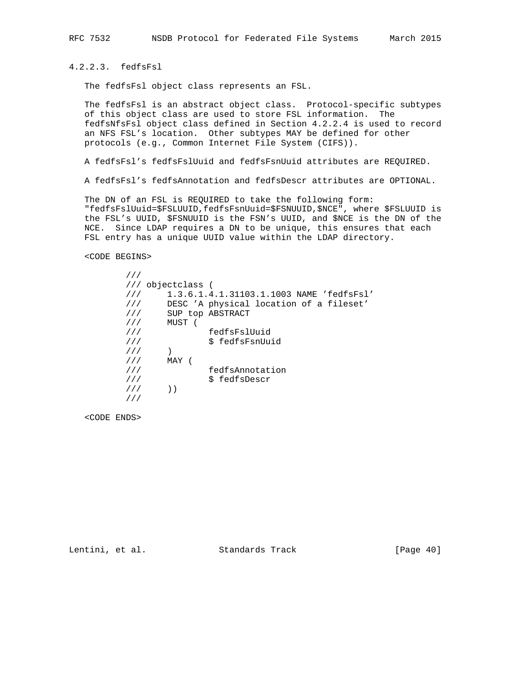4.2.2.3. fedfsFsl

The fedfsFsl object class represents an FSL.

 The fedfsFsl is an abstract object class. Protocol-specific subtypes of this object class are used to store FSL information. The fedfsNfsFsl object class defined in Section 4.2.2.4 is used to record an NFS FSL's location. Other subtypes MAY be defined for other protocols (e.g., Common Internet File System (CIFS)).

A fedfsFsl's fedfsFslUuid and fedfsFsnUuid attributes are REQUIRED.

A fedfsFsl's fedfsAnnotation and fedfsDescr attributes are OPTIONAL.

 The DN of an FSL is REQUIRED to take the following form: "fedfsFslUuid=\$FSLUUID,fedfsFsnUuid=\$FSNUUID,\$NCE", where \$FSLUUID is the FSL's UUID, \$FSNUUID is the FSN's UUID, and \$NCE is the DN of the NCE. Since LDAP requires a DN to be unique, this ensures that each FSL entry has a unique UUID value within the LDAP directory.

<CODE BEGINS>

| 111 |             |                                          |
|-----|-------------|------------------------------------------|
| 111 | objectclass |                                          |
| 111 |             | 1.3.6.1.4.1.31103.1.1003 NAME 'fedfsFsl' |
| 111 |             | DESC 'A physical location of a fileset'  |
| 111 |             | SUP top ABSTRACT                         |
| 111 | MUST        |                                          |
| 111 |             | fedfsFslUuid                             |
| 111 |             | \$ fedfsFsnUuid                          |
| 111 |             |                                          |
| 111 | MAY         |                                          |
| 111 |             | fedfsAnnotation                          |
| 111 |             | \$ fedfsDescr                            |
| 111 |             |                                          |
|     |             |                                          |

<CODE ENDS>

Lentini, et al. Standards Track [Page 40]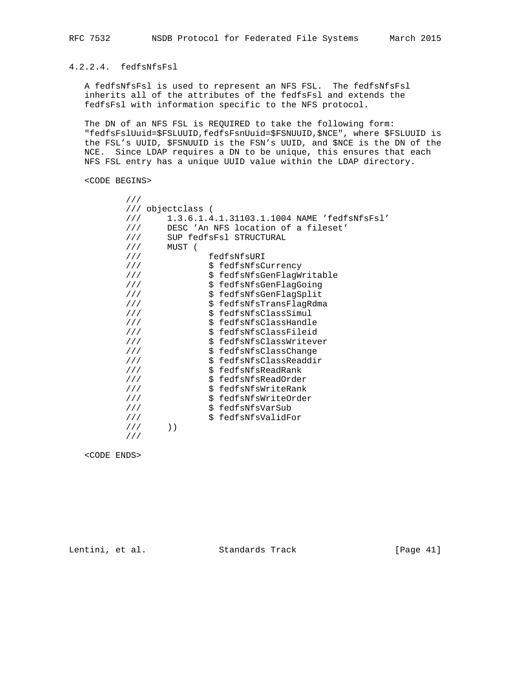## 4.2.2.4. fedfsNfsFsl

 A fedfsNfsFsl is used to represent an NFS FSL. The fedfsNfsFsl inherits all of the attributes of the fedfsFsl and extends the fedfsFsl with information specific to the NFS protocol.

 The DN of an NFS FSL is REQUIRED to take the following form: "fedfsFslUuid=\$FSLUUID,fedfsFsnUuid=\$FSNUUID,\$NCE", where \$FSLUUID is the FSL's UUID, \$FSNUUID is the FSN's UUID, and \$NCE is the DN of the NCE. Since LDAP requires a DN to be unique, this ensures that each NFS FSL entry has a unique UUID value within the LDAP directory.

### <CODE BEGINS>

| 111 |                                                    |
|-----|----------------------------------------------------|
|     | /// objectclass (                                  |
|     | 1.3.6.1.4.1.31103.1.1004 NAME 'fedfsNfsFsl'<br>111 |
| 111 | DESC 'An NFS location of a fileset'                |
| 111 | SUP fedfsFsl STRUCTURAL                            |
| 111 | MUST (                                             |
| 111 | fedfsNfsURI                                        |
| 111 | \$ fedfsNfsCurrency                                |
| 111 | \$ fedfsNfsGenFlaqWritable                         |
| 111 | \$ fedfsNfsGenFlagGoing                            |
| 111 | \$ fedfsNfsGenFlagSplit                            |
| 111 | \$ fedfsNfsTransFlaqRdma                           |
| 111 | \$ fedfsNfsClassSimul                              |
| 111 | \$ fedfsNfsClassHandle                             |
| 111 | \$ fedfsNfsClassFileid                             |
| 111 | \$ fedfsNfsClassWritever                           |
| 111 | \$ fedfsNfsClassChange                             |
| 111 | \$ fedfsNfsClassReaddir                            |
| 111 | \$ fedfsNfsReadRank                                |
| 111 | \$ fedfsNfsReadOrder                               |
| 111 | \$ fedfsNfsWriteRank                               |
| 111 | \$ fedfsNfsWriteOrder                              |
| 111 | \$ fedfsNfsVarSub                                  |
| 111 | \$ fedfsNfsValidFor                                |
| 111 | $)$ )                                              |
|     |                                                    |

<CODE ENDS>

Lentini, et al. Standards Track [Page 41]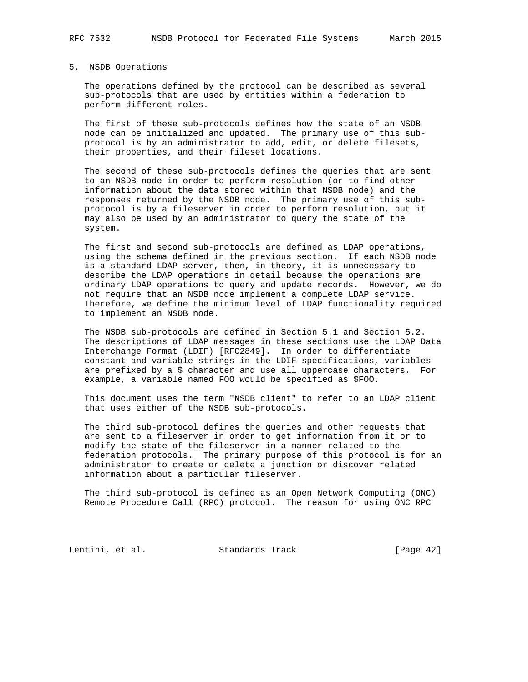### 5. NSDB Operations

 The operations defined by the protocol can be described as several sub-protocols that are used by entities within a federation to perform different roles.

 The first of these sub-protocols defines how the state of an NSDB node can be initialized and updated. The primary use of this sub protocol is by an administrator to add, edit, or delete filesets, their properties, and their fileset locations.

 The second of these sub-protocols defines the queries that are sent to an NSDB node in order to perform resolution (or to find other information about the data stored within that NSDB node) and the responses returned by the NSDB node. The primary use of this sub protocol is by a fileserver in order to perform resolution, but it may also be used by an administrator to query the state of the system.

 The first and second sub-protocols are defined as LDAP operations, using the schema defined in the previous section. If each NSDB node is a standard LDAP server, then, in theory, it is unnecessary to describe the LDAP operations in detail because the operations are ordinary LDAP operations to query and update records. However, we do not require that an NSDB node implement a complete LDAP service. Therefore, we define the minimum level of LDAP functionality required to implement an NSDB node.

 The NSDB sub-protocols are defined in Section 5.1 and Section 5.2. The descriptions of LDAP messages in these sections use the LDAP Data Interchange Format (LDIF) [RFC2849]. In order to differentiate constant and variable strings in the LDIF specifications, variables are prefixed by a \$ character and use all uppercase characters. For example, a variable named FOO would be specified as \$FOO.

 This document uses the term "NSDB client" to refer to an LDAP client that uses either of the NSDB sub-protocols.

 The third sub-protocol defines the queries and other requests that are sent to a fileserver in order to get information from it or to modify the state of the fileserver in a manner related to the federation protocols. The primary purpose of this protocol is for an administrator to create or delete a junction or discover related information about a particular fileserver.

 The third sub-protocol is defined as an Open Network Computing (ONC) Remote Procedure Call (RPC) protocol. The reason for using ONC RPC

Lentini, et al. Standards Track [Page 42]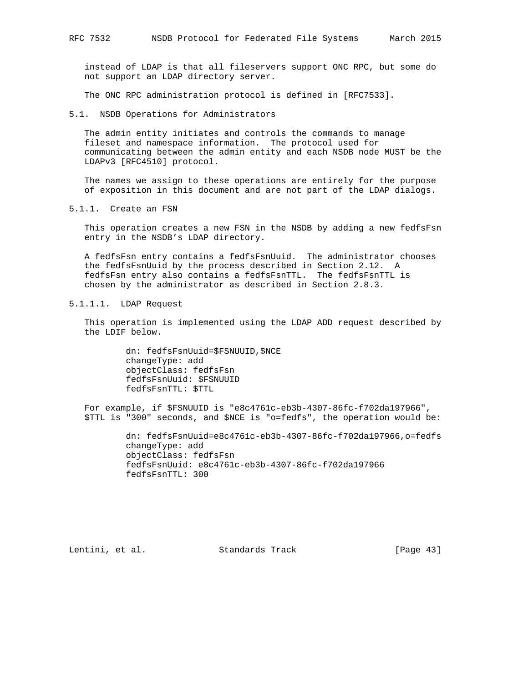instead of LDAP is that all fileservers support ONC RPC, but some do not support an LDAP directory server.

The ONC RPC administration protocol is defined in [RFC7533].

5.1. NSDB Operations for Administrators

 The admin entity initiates and controls the commands to manage fileset and namespace information. The protocol used for communicating between the admin entity and each NSDB node MUST be the LDAPv3 [RFC4510] protocol.

 The names we assign to these operations are entirely for the purpose of exposition in this document and are not part of the LDAP dialogs.

5.1.1. Create an FSN

 This operation creates a new FSN in the NSDB by adding a new fedfsFsn entry in the NSDB's LDAP directory.

 A fedfsFsn entry contains a fedfsFsnUuid. The administrator chooses the fedfsFsnUuid by the process described in Section 2.12. A fedfsFsn entry also contains a fedfsFsnTTL. The fedfsFsnTTL is chosen by the administrator as described in Section 2.8.3.

### 5.1.1.1. LDAP Request

 This operation is implemented using the LDAP ADD request described by the LDIF below.

> dn: fedfsFsnUuid=\$FSNUUID,\$NCE changeType: add objectClass: fedfsFsn fedfsFsnUuid: \$FSNUUID fedfsFsnTTL: \$TTL

 For example, if \$FSNUUID is "e8c4761c-eb3b-4307-86fc-f702da197966", \$TTL is "300" seconds, and \$NCE is "o=fedfs", the operation would be:

> dn: fedfsFsnUuid=e8c4761c-eb3b-4307-86fc-f702da197966,o=fedfs changeType: add objectClass: fedfsFsn fedfsFsnUuid: e8c4761c-eb3b-4307-86fc-f702da197966 fedfsFsnTTL: 300

Lentini, et al. Standards Track [Page 43]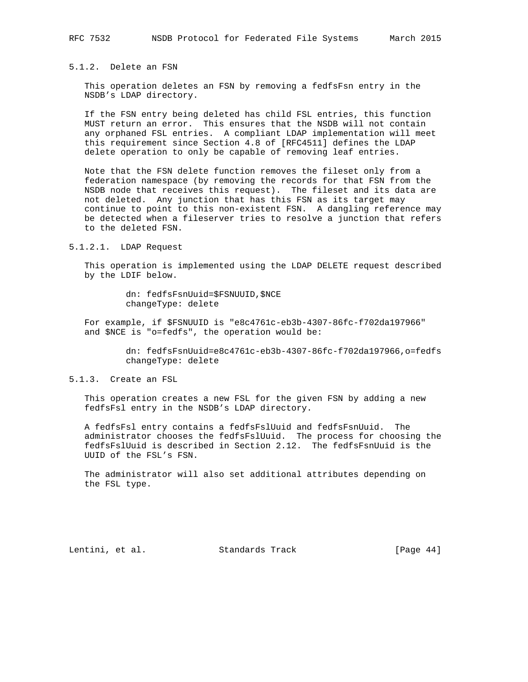5.1.2. Delete an FSN

 This operation deletes an FSN by removing a fedfsFsn entry in the NSDB's LDAP directory.

 If the FSN entry being deleted has child FSL entries, this function MUST return an error. This ensures that the NSDB will not contain any orphaned FSL entries. A compliant LDAP implementation will meet this requirement since Section 4.8 of [RFC4511] defines the LDAP delete operation to only be capable of removing leaf entries.

 Note that the FSN delete function removes the fileset only from a federation namespace (by removing the records for that FSN from the NSDB node that receives this request). The fileset and its data are not deleted. Any junction that has this FSN as its target may continue to point to this non-existent FSN. A dangling reference may be detected when a fileserver tries to resolve a junction that refers to the deleted FSN.

5.1.2.1. LDAP Request

 This operation is implemented using the LDAP DELETE request described by the LDIF below.

> dn: fedfsFsnUuid=\$FSNUUID,\$NCE changeType: delete

 For example, if \$FSNUUID is "e8c4761c-eb3b-4307-86fc-f702da197966" and \$NCE is "o=fedfs", the operation would be:

> dn: fedfsFsnUuid=e8c4761c-eb3b-4307-86fc-f702da197966,o=fedfs changeType: delete

5.1.3. Create an FSL

 This operation creates a new FSL for the given FSN by adding a new fedfsFsl entry in the NSDB's LDAP directory.

 A fedfsFsl entry contains a fedfsFslUuid and fedfsFsnUuid. The administrator chooses the fedfsFslUuid. The process for choosing the fedfsFslUuid is described in Section 2.12. The fedfsFsnUuid is the UUID of the FSL's FSN.

 The administrator will also set additional attributes depending on the FSL type.

Lentini, et al. Standards Track [Page 44]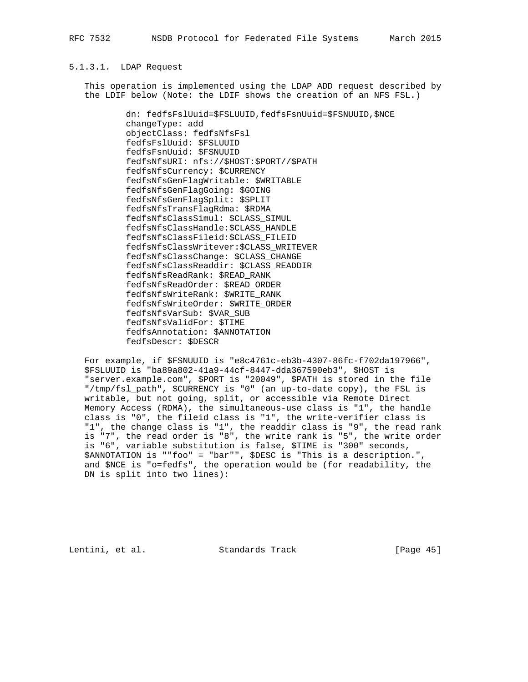#### 5.1.3.1. LDAP Request

 This operation is implemented using the LDAP ADD request described by the LDIF below (Note: the LDIF shows the creation of an NFS FSL.)

 dn: fedfsFslUuid=\$FSLUUID,fedfsFsnUuid=\$FSNUUID,\$NCE changeType: add objectClass: fedfsNfsFsl fedfsFslUuid: \$FSLUUID fedfsFsnUuid: \$FSNUUID fedfsNfsURI: nfs://\$HOST:\$PORT//\$PATH fedfsNfsCurrency: \$CURRENCY fedfsNfsGenFlagWritable: \$WRITABLE fedfsNfsGenFlagGoing: \$GOING fedfsNfsGenFlagSplit: \$SPLIT fedfsNfsTransFlagRdma: \$RDMA fedfsNfsClassSimul: \$CLASS\_SIMUL fedfsNfsClassHandle:\$CLASS\_HANDLE fedfsNfsClassFileid:\$CLASS\_FILEID fedfsNfsClassWritever:\$CLASS\_WRITEVER fedfsNfsClassChange: \$CLASS\_CHANGE fedfsNfsClassReaddir: \$CLASS\_READDIR fedfsNfsReadRank: \$READ\_RANK fedfsNfsReadOrder: \$READ\_ORDER fedfsNfsWriteRank: \$WRITE\_RANK fedfsNfsWriteOrder: \$WRITE\_ORDER fedfsNfsVarSub: \$VAR\_SUB fedfsNfsValidFor: \$TIME fedfsAnnotation: \$ANNOTATION fedfsDescr: \$DESCR

 For example, if \$FSNUUID is "e8c4761c-eb3b-4307-86fc-f702da197966", \$FSLUUID is "ba89a802-41a9-44cf-8447-dda367590eb3", \$HOST is "server.example.com", \$PORT is "20049", \$PATH is stored in the file "/tmp/fsl\_path", \$CURRENCY is "0" (an up-to-date copy), the FSL is writable, but not going, split, or accessible via Remote Direct Memory Access (RDMA), the simultaneous-use class is "1", the handle class is "0", the fileid class is "1", the write-verifier class is "1", the change class is "1", the readdir class is "9", the read rank is "7", the read order is "8", the write rank is "5", the write order is "6", variable substitution is false, \$TIME is "300" seconds, \$ANNOTATION is ""foo" = "bar"", \$DESC is "This is a description.", and \$NCE is "o=fedfs", the operation would be (for readability, the DN is split into two lines):

Lentini, et al. Standards Track [Page 45]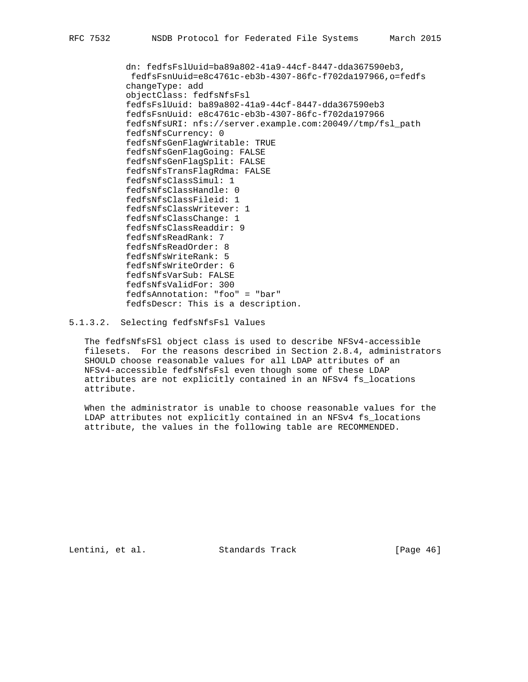dn: fedfsFslUuid=ba89a802-41a9-44cf-8447-dda367590eb3, fedfsFsnUuid=e8c4761c-eb3b-4307-86fc-f702da197966,o=fedfs changeType: add objectClass: fedfsNfsFsl fedfsFslUuid: ba89a802-41a9-44cf-8447-dda367590eb3 fedfsFsnUuid: e8c4761c-eb3b-4307-86fc-f702da197966 fedfsNfsURI: nfs://server.example.com:20049//tmp/fsl\_path fedfsNfsCurrency: 0 fedfsNfsGenFlagWritable: TRUE fedfsNfsGenFlagGoing: FALSE fedfsNfsGenFlagSplit: FALSE fedfsNfsTransFlagRdma: FALSE fedfsNfsClassSimul: 1 fedfsNfsClassHandle: 0 fedfsNfsClassFileid: 1 fedfsNfsClassWritever: 1 fedfsNfsClassChange: 1 fedfsNfsClassReaddir: 9 fedfsNfsReadRank: 7 fedfsNfsReadOrder: 8 fedfsNfsWriteRank: 5 fedfsNfsWriteOrder: 6 fedfsNfsVarSub: FALSE fedfsNfsValidFor: 300 fedfsAnnotation: "foo" = "bar" fedfsDescr: This is a description.

#### 5.1.3.2. Selecting fedfsNfsFsl Values

 The fedfsNfsFSl object class is used to describe NFSv4-accessible filesets. For the reasons described in Section 2.8.4, administrators SHOULD choose reasonable values for all LDAP attributes of an NFSv4-accessible fedfsNfsFsl even though some of these LDAP attributes are not explicitly contained in an NFSv4 fs\_locations attribute.

 When the administrator is unable to choose reasonable values for the LDAP attributes not explicitly contained in an NFSv4 fs\_locations attribute, the values in the following table are RECOMMENDED.

Lentini, et al. Standards Track [Page 46]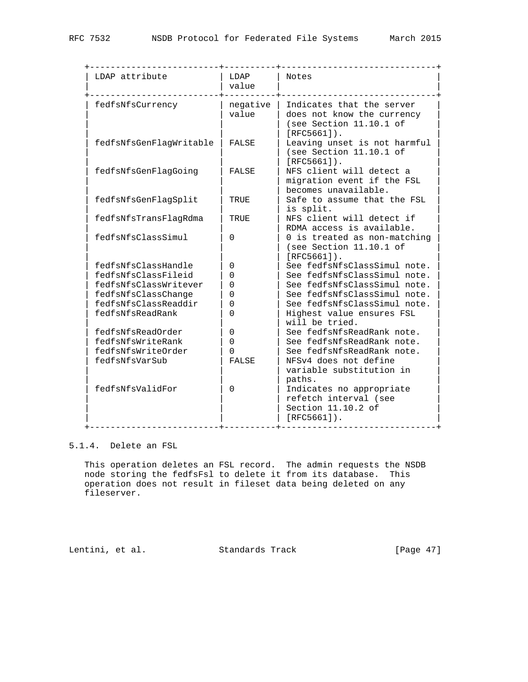| LDAP attribute          | LDAP<br>value     | Notes                                                                                               |
|-------------------------|-------------------|-----------------------------------------------------------------------------------------------------|
| fedfsNfsCurrency        | negative<br>value | Indicates that the server<br>does not know the currency<br>(see Section 11.10.1 of<br>$[RFC5661]$ . |
| fedfsNfsGenFlaqWritable | FALSE             | Leaving unset is not harmful<br>(see Section 11.10.1 of<br>$[RFC5661]$ .                            |
| fedfsNfsGenFlagGoing    | FALSE             | NFS client will detect a<br>migration event if the FSL<br>becomes unavailable.                      |
| fedfsNfsGenFlagSplit    | TRUE              | Safe to assume that the FSL<br>is split.                                                            |
| fedfsNfsTransFlagRdma   | TRUE              | NFS client will detect if<br>RDMA access is available.                                              |
| fedfsNfsClassSimul      | $\Omega$          | 0 is treated as non-matching<br>(see Section 11.10.1 of<br>$[RFC5661]$ .                            |
| fedfsNfsClassHandle     | 0                 | See fedfsNfsClassSimul note.                                                                        |
| fedfsNfsClassFileid     | $\Omega$          | See fedfsNfsClassSimul note.                                                                        |
| fedfsNfsClassWritever   | $\mathbf 0$       | See fedfsNfsClassSimul note.                                                                        |
| fedfsNfsClassChange     | $\Omega$          | See fedfsNfsClassSimul note.                                                                        |
| fedfsNfsClassReaddir    | $\Omega$          | See fedfsNfsClassSimul note.                                                                        |
| fedfsNfsReadRank        | $\Omega$          | Highest value ensures FSL<br>will be tried.                                                         |
| fedfsNfsReadOrder       | 0                 | See fedfsNfsReadRank note.                                                                          |
| fedfsNfsWriteRank       | $\Omega$          | See fedfsNfsReadRank note.                                                                          |
| fedfsNfsWriteOrder      | 0                 | See fedfsNfsReadRank note.                                                                          |
| fedfsNfsVarSub          | FALSE             | NFSv4 does not define<br>variable substitution in<br>paths.                                         |
| fedfsNfsValidFor        | $\Omega$          | Indicates no appropriate<br>refetch interval (see<br>Section 11.10.2 of<br>$[RFC5661]$ .            |

### 5.1.4. Delete an FSL

 This operation deletes an FSL record. The admin requests the NSDB node storing the fedfsFsl to delete it from its database. This operation does not result in fileset data being deleted on any fileserver.

Lentini, et al. Standards Track [Page 47]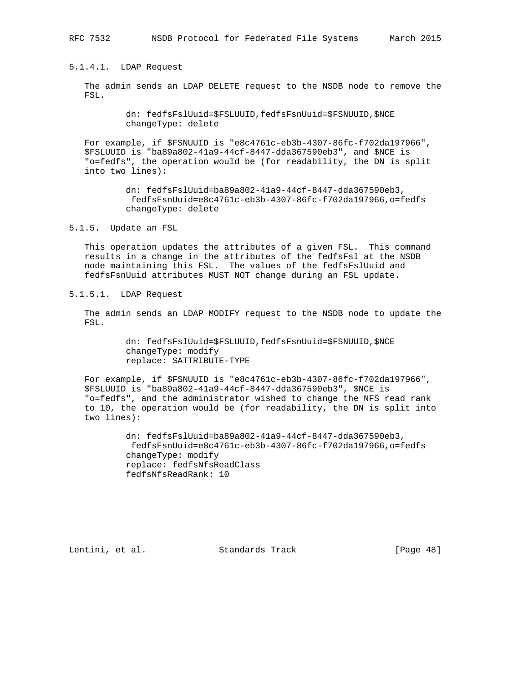5.1.4.1. LDAP Request

 The admin sends an LDAP DELETE request to the NSDB node to remove the FSL.

> dn: fedfsFslUuid=\$FSLUUID,fedfsFsnUuid=\$FSNUUID,\$NCE changeType: delete

 For example, if \$FSNUUID is "e8c4761c-eb3b-4307-86fc-f702da197966", \$FSLUUID is "ba89a802-41a9-44cf-8447-dda367590eb3", and \$NCE is "o=fedfs", the operation would be (for readability, the DN is split into two lines):

> dn: fedfsFslUuid=ba89a802-41a9-44cf-8447-dda367590eb3, fedfsFsnUuid=e8c4761c-eb3b-4307-86fc-f702da197966,o=fedfs changeType: delete

5.1.5. Update an FSL

 This operation updates the attributes of a given FSL. This command results in a change in the attributes of the fedfsFsl at the NSDB node maintaining this FSL. The values of the fedfsFslUuid and fedfsFsnUuid attributes MUST NOT change during an FSL update.

5.1.5.1. LDAP Request

 The admin sends an LDAP MODIFY request to the NSDB node to update the FSL.

> dn: fedfsFslUuid=\$FSLUUID,fedfsFsnUuid=\$FSNUUID,\$NCE changeType: modify replace: \$ATTRIBUTE-TYPE

 For example, if \$FSNUUID is "e8c4761c-eb3b-4307-86fc-f702da197966", \$FSLUUID is "ba89a802-41a9-44cf-8447-dda367590eb3", \$NCE is "o=fedfs", and the administrator wished to change the NFS read rank to 10, the operation would be (for readability, the DN is split into two lines):

> dn: fedfsFslUuid=ba89a802-41a9-44cf-8447-dda367590eb3, fedfsFsnUuid=e8c4761c-eb3b-4307-86fc-f702da197966,o=fedfs changeType: modify replace: fedfsNfsReadClass fedfsNfsReadRank: 10

Lentini, et al. Standards Track [Page 48]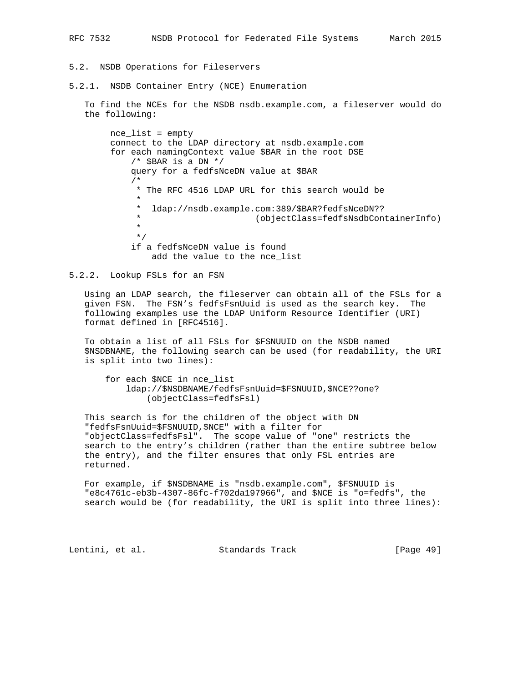### 5.2. NSDB Operations for Fileservers

5.2.1. NSDB Container Entry (NCE) Enumeration

 To find the NCEs for the NSDB nsdb.example.com, a fileserver would do the following:

 $nce\_list = empty$  connect to the LDAP directory at nsdb.example.com for each namingContext value \$BAR in the root DSE  $/*$  \$BAR is a DN  $*/$  query for a fedfsNceDN value at \$BAR /\* \* The RFC 4516 LDAP URL for this search would be \* \* ldap://nsdb.example.com:389/\$BAR?fedfsNceDN?? \* (objectClass=fedfsNsdbContainerInfo) \* \*/ if a fedfsNceDN value is found add the value to the nce\_list

5.2.2. Lookup FSLs for an FSN

 Using an LDAP search, the fileserver can obtain all of the FSLs for a given FSN. The FSN's fedfsFsnUuid is used as the search key. The following examples use the LDAP Uniform Resource Identifier (URI) format defined in [RFC4516].

 To obtain a list of all FSLs for \$FSNUUID on the NSDB named \$NSDBNAME, the following search can be used (for readability, the URI is split into two lines):

 for each \$NCE in nce\_list ldap://\$NSDBNAME/fedfsFsnUuid=\$FSNUUID,\$NCE??one? (objectClass=fedfsFsl)

 This search is for the children of the object with DN "fedfsFsnUuid=\$FSNUUID,\$NCE" with a filter for "objectClass=fedfsFsl". The scope value of "one" restricts the search to the entry's children (rather than the entire subtree below the entry), and the filter ensures that only FSL entries are returned.

 For example, if \$NSDBNAME is "nsdb.example.com", \$FSNUUID is "e8c4761c-eb3b-4307-86fc-f702da197966", and \$NCE is "o=fedfs", the search would be (for readability, the URI is split into three lines):

Lentini, et al. Standards Track [Page 49]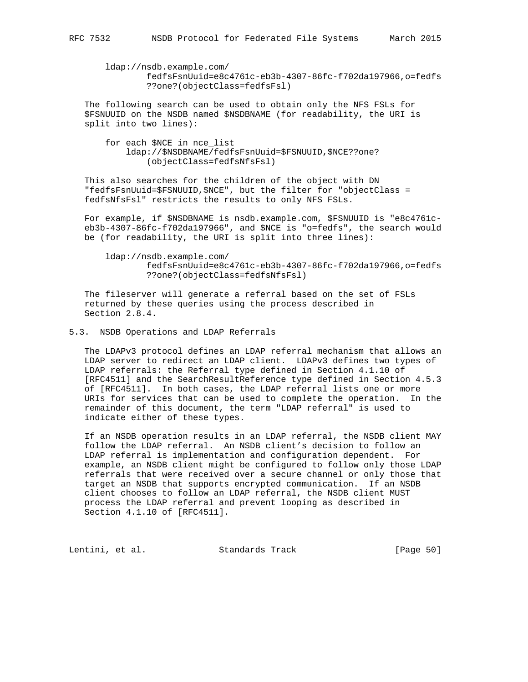ldap://nsdb.example.com/ fedfsFsnUuid=e8c4761c-eb3b-4307-86fc-f702da197966,o=fedfs ??one?(objectClass=fedfsFsl)

 The following search can be used to obtain only the NFS FSLs for \$FSNUUID on the NSDB named \$NSDBNAME (for readability, the URI is split into two lines):

 for each \$NCE in nce\_list ldap://\$NSDBNAME/fedfsFsnUuid=\$FSNUUID,\$NCE??one? (objectClass=fedfsNfsFsl)

 This also searches for the children of the object with DN "fedfsFsnUuid=\$FSNUUID,\$NCE", but the filter for "objectClass = fedfsNfsFsl" restricts the results to only NFS FSLs.

 For example, if \$NSDBNAME is nsdb.example.com, \$FSNUUID is "e8c4761c eb3b-4307-86fc-f702da197966", and \$NCE is "o=fedfs", the search would be (for readability, the URI is split into three lines):

 ldap://nsdb.example.com/ fedfsFsnUuid=e8c4761c-eb3b-4307-86fc-f702da197966,o=fedfs ??one?(objectClass=fedfsNfsFsl)

 The fileserver will generate a referral based on the set of FSLs returned by these queries using the process described in Section 2.8.4.

### 5.3. NSDB Operations and LDAP Referrals

 The LDAPv3 protocol defines an LDAP referral mechanism that allows an LDAP server to redirect an LDAP client. LDAPv3 defines two types of LDAP referrals: the Referral type defined in Section 4.1.10 of [RFC4511] and the SearchResultReference type defined in Section 4.5.3 of [RFC4511]. In both cases, the LDAP referral lists one or more URIs for services that can be used to complete the operation. In the remainder of this document, the term "LDAP referral" is used to indicate either of these types.

 If an NSDB operation results in an LDAP referral, the NSDB client MAY follow the LDAP referral. An NSDB client's decision to follow an LDAP referral is implementation and configuration dependent. For example, an NSDB client might be configured to follow only those LDAP referrals that were received over a secure channel or only those that target an NSDB that supports encrypted communication. If an NSDB client chooses to follow an LDAP referral, the NSDB client MUST process the LDAP referral and prevent looping as described in Section 4.1.10 of [RFC4511].

Lentini, et al. Standards Track [Page 50]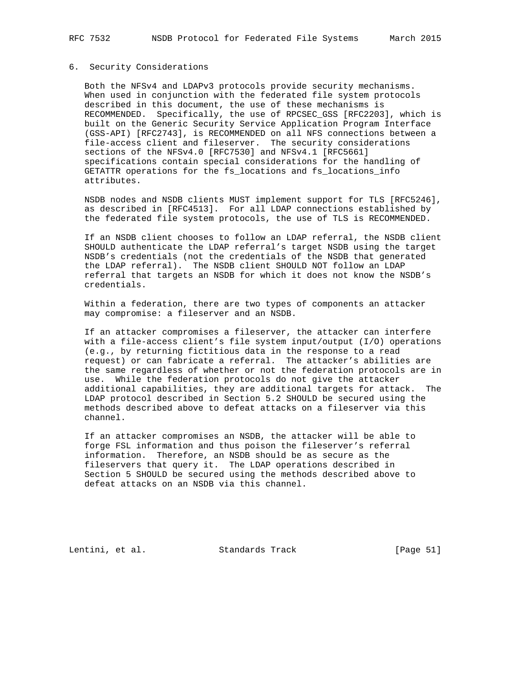### 6. Security Considerations

 Both the NFSv4 and LDAPv3 protocols provide security mechanisms. When used in conjunction with the federated file system protocols described in this document, the use of these mechanisms is RECOMMENDED. Specifically, the use of RPCSEC\_GSS [RFC2203], which is built on the Generic Security Service Application Program Interface (GSS-API) [RFC2743], is RECOMMENDED on all NFS connections between a file-access client and fileserver. The security considerations sections of the NFSv4.0 [RFC7530] and NFSv4.1 [RFC5661] specifications contain special considerations for the handling of GETATTR operations for the fs\_locations and fs\_locations\_info attributes.

 NSDB nodes and NSDB clients MUST implement support for TLS [RFC5246], as described in [RFC4513]. For all LDAP connections established by the federated file system protocols, the use of TLS is RECOMMENDED.

 If an NSDB client chooses to follow an LDAP referral, the NSDB client SHOULD authenticate the LDAP referral's target NSDB using the target NSDB's credentials (not the credentials of the NSDB that generated the LDAP referral). The NSDB client SHOULD NOT follow an LDAP referral that targets an NSDB for which it does not know the NSDB's credentials.

 Within a federation, there are two types of components an attacker may compromise: a fileserver and an NSDB.

 If an attacker compromises a fileserver, the attacker can interfere with a file-access client's file system input/output (I/O) operations (e.g., by returning fictitious data in the response to a read request) or can fabricate a referral. The attacker's abilities are the same regardless of whether or not the federation protocols are in use. While the federation protocols do not give the attacker additional capabilities, they are additional targets for attack. The LDAP protocol described in Section 5.2 SHOULD be secured using the methods described above to defeat attacks on a fileserver via this channel.

 If an attacker compromises an NSDB, the attacker will be able to forge FSL information and thus poison the fileserver's referral information. Therefore, an NSDB should be as secure as the fileservers that query it. The LDAP operations described in Section 5 SHOULD be secured using the methods described above to defeat attacks on an NSDB via this channel.

Lentini, et al. Standards Track [Page 51]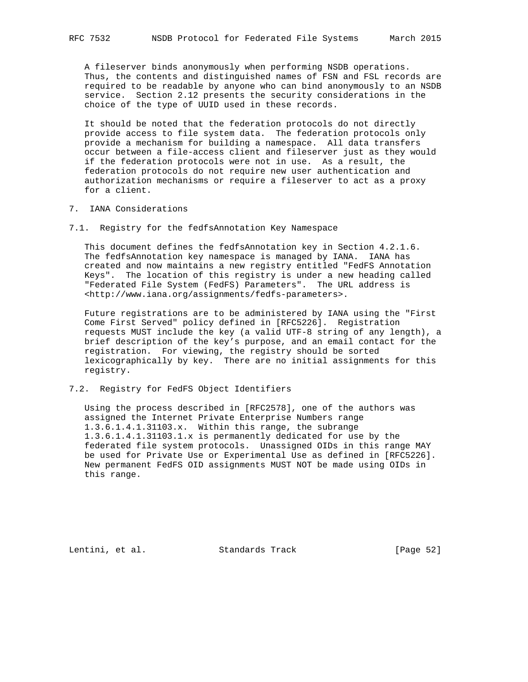A fileserver binds anonymously when performing NSDB operations. Thus, the contents and distinguished names of FSN and FSL records are required to be readable by anyone who can bind anonymously to an NSDB service. Section 2.12 presents the security considerations in the choice of the type of UUID used in these records.

 It should be noted that the federation protocols do not directly provide access to file system data. The federation protocols only provide a mechanism for building a namespace. All data transfers occur between a file-access client and fileserver just as they would if the federation protocols were not in use. As a result, the federation protocols do not require new user authentication and authorization mechanisms or require a fileserver to act as a proxy for a client.

- 7. IANA Considerations
- 7.1. Registry for the fedfsAnnotation Key Namespace

 This document defines the fedfsAnnotation key in Section 4.2.1.6. The fedfsAnnotation key namespace is managed by IANA. IANA has created and now maintains a new registry entitled "FedFS Annotation Keys". The location of this registry is under a new heading called "Federated File System (FedFS) Parameters". The URL address is <http://www.iana.org/assignments/fedfs-parameters>.

 Future registrations are to be administered by IANA using the "First Come First Served" policy defined in [RFC5226]. Registration requests MUST include the key (a valid UTF-8 string of any length), a brief description of the key's purpose, and an email contact for the registration. For viewing, the registry should be sorted lexicographically by key. There are no initial assignments for this registry.

### 7.2. Registry for FedFS Object Identifiers

 Using the process described in [RFC2578], one of the authors was assigned the Internet Private Enterprise Numbers range 1.3.6.1.4.1.31103.x. Within this range, the subrange 1.3.6.1.4.1.31103.1.x is permanently dedicated for use by the federated file system protocols. Unassigned OIDs in this range MAY be used for Private Use or Experimental Use as defined in [RFC5226]. New permanent FedFS OID assignments MUST NOT be made using OIDs in this range.

Lentini, et al. Standards Track [Page 52]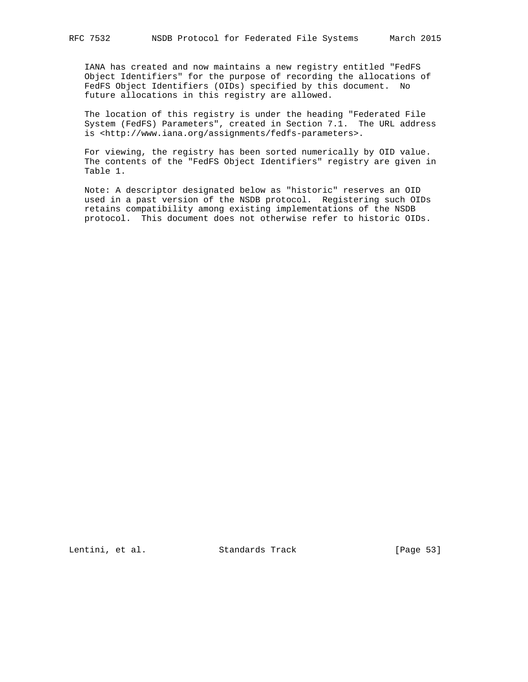IANA has created and now maintains a new registry entitled "FedFS Object Identifiers" for the purpose of recording the allocations of FedFS Object Identifiers (OIDs) specified by this document. No future allocations in this registry are allowed.

 The location of this registry is under the heading "Federated File System (FedFS) Parameters", created in Section 7.1. The URL address is <http://www.iana.org/assignments/fedfs-parameters>.

 For viewing, the registry has been sorted numerically by OID value. The contents of the "FedFS Object Identifiers" registry are given in Table 1.

 Note: A descriptor designated below as "historic" reserves an OID used in a past version of the NSDB protocol. Registering such OIDs retains compatibility among existing implementations of the NSDB protocol. This document does not otherwise refer to historic OIDs.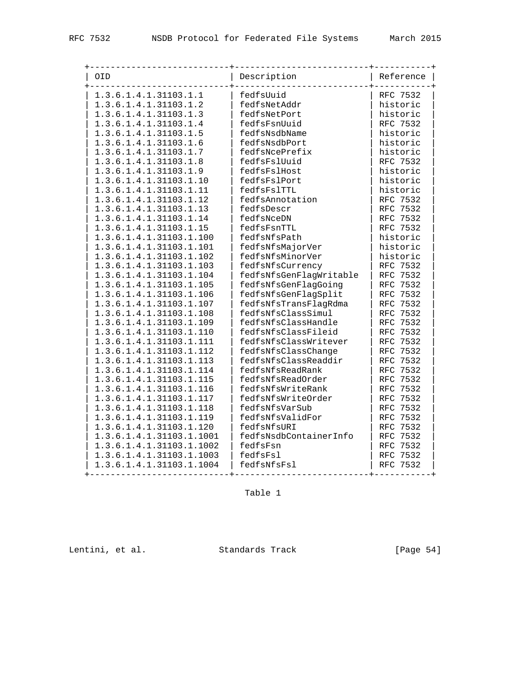| OID                      | Description             | Reference |
|--------------------------|-------------------------|-----------|
| 1.3.6.1.4.1.31103.1.1    | fedfsUuid               | RFC 7532  |
| 1.3.6.1.4.1.31103.1.2    | fedfsNetAddr            | historic  |
| 1.3.6.1.4.1.31103.1.3    | fedfsNetPort            | historic  |
| 1.3.6.1.4.1.31103.1.4    | fedfsFsnUuid            | RFC 7532  |
| 1.3.6.1.4.1.31103.1.5    | fedfsNsdbName           | historic  |
| 1.3.6.1.4.1.31103.1.6    | fedfsNsdbPort           | historic  |
| 1.3.6.1.4.1.31103.1.7    | fedfsNcePrefix          | historic  |
| 1.3.6.1.4.1.31103.1.8    | fedfsFslUuid            | RFC 7532  |
| 1.3.6.1.4.1.31103.1.9    | fedfsFslHost            | historic  |
| 1.3.6.1.4.1.31103.1.10   | fedfsFslPort            | historic  |
| 1.3.6.1.4.1.31103.1.11   | fedfsFs1TTL             | historic  |
| 1.3.6.1.4.1.31103.1.12   | fedfsAnnotation         | RFC 7532  |
| 1.3.6.1.4.1.31103.1.13   | fedfsDescr              | RFC 7532  |
| 1.3.6.1.4.1.31103.1.14   | fedfsNceDN              | RFC 7532  |
| 1.3.6.1.4.1.31103.1.15   | fedfsFsnTTL             | RFC 7532  |
| 1.3.6.1.4.1.31103.1.100  | fedfsNfsPath            | historic  |
| 1.3.6.1.4.1.31103.1.101  | fedfsNfsMajorVer        | historic  |
| 1.3.6.1.4.1.31103.1.102  | fedfsNfsMinorVer        | historic  |
| 1.3.6.1.4.1.31103.1.103  | fedfsNfsCurrency        | RFC 7532  |
| 1.3.6.1.4.1.31103.1.104  | fedfsNfsGenFlagWritable | RFC 7532  |
| 1.3.6.1.4.1.31103.1.105  | fedfsNfsGenFlagGoing    | RFC 7532  |
| 1.3.6.1.4.1.31103.1.106  | fedfsNfsGenFlagSplit    | RFC 7532  |
| 1.3.6.1.4.1.31103.1.107  | fedfsNfsTransFlagRdma   | RFC 7532  |
| 1.3.6.1.4.1.31103.1.108  | fedfsNfsClassSimul      | RFC 7532  |
| 1.3.6.1.4.1.31103.1.109  | fedfsNfsClassHandle     | RFC 7532  |
| 1.3.6.1.4.1.31103.1.110  | fedfsNfsClassFileid     | RFC 7532  |
| 1.3.6.1.4.1.31103.1.111  | fedfsNfsClassWritever   | RFC 7532  |
| 1.3.6.1.4.1.31103.1.112  | fedfsNfsClassChange     | RFC 7532  |
| 1.3.6.1.4.1.31103.1.113  | fedfsNfsClassReaddir    | RFC 7532  |
| 1.3.6.1.4.1.31103.1.114  | fedfsNfsReadRank        | RFC 7532  |
| 1.3.6.1.4.1.31103.1.115  | fedfsNfsReadOrder       | RFC 7532  |
| 1.3.6.1.4.1.31103.1.116  | fedfsNfsWriteRank       | RFC 7532  |
| 1.3.6.1.4.1.31103.1.117  | fedfsNfsWriteOrder      | RFC 7532  |
| 1.3.6.1.4.1.31103.1.118  | fedfsNfsVarSub          | RFC 7532  |
| 1.3.6.1.4.1.31103.1.119  | fedfsNfsValidFor        | RFC 7532  |
| 1.3.6.1.4.1.31103.1.120  | fedfsNfsURI             | RFC 7532  |
| 1.3.6.1.4.1.31103.1.1001 | fedfsNsdbContainerInfo  | RFC 7532  |
| 1.3.6.1.4.1.31103.1.1002 | fedfsFsn                | RFC 7532  |
| 1.3.6.1.4.1.31103.1.1003 | fedfsFsl                | RFC 7532  |
| 1.3.6.1.4.1.31103.1.1004 | fedfsNfsFsl             | RFC 7532  |

Table 1

Lentini, et al. Standards Track [Page 54]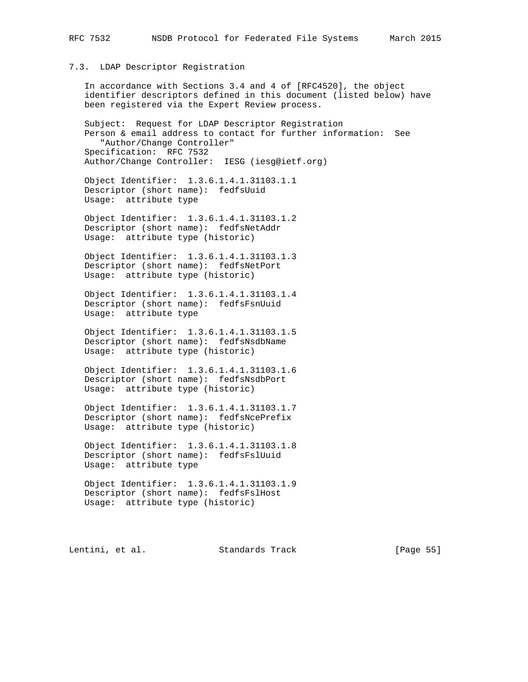#### 7.3. LDAP Descriptor Registration

 In accordance with Sections 3.4 and 4 of [RFC4520], the object identifier descriptors defined in this document (listed below) have been registered via the Expert Review process.

 Subject: Request for LDAP Descriptor Registration Person & email address to contact for further information: See "Author/Change Controller" Specification: RFC 7532 Author/Change Controller: IESG (iesg@ietf.org)

 Object Identifier: 1.3.6.1.4.1.31103.1.1 Descriptor (short name): fedfsUuid Usage: attribute type

 Object Identifier: 1.3.6.1.4.1.31103.1.2 Descriptor (short name): fedfsNetAddr Usage: attribute type (historic)

 Object Identifier: 1.3.6.1.4.1.31103.1.3 Descriptor (short name): fedfsNetPort Usage: attribute type (historic)

 Object Identifier: 1.3.6.1.4.1.31103.1.4 Descriptor (short name): fedfsFsnUuid Usage: attribute type

 Object Identifier: 1.3.6.1.4.1.31103.1.5 Descriptor (short name): fedfsNsdbName Usage: attribute type (historic)

 Object Identifier: 1.3.6.1.4.1.31103.1.6 Descriptor (short name): fedfsNsdbPort Usage: attribute type (historic)

 Object Identifier: 1.3.6.1.4.1.31103.1.7 Descriptor (short name): fedfsNcePrefix Usage: attribute type (historic)

 Object Identifier: 1.3.6.1.4.1.31103.1.8 Descriptor (short name): fedfsFslUuid Usage: attribute type

 Object Identifier: 1.3.6.1.4.1.31103.1.9 Descriptor (short name): fedfsFslHost Usage: attribute type (historic)

Lentini, et al. Standards Track [Page 55]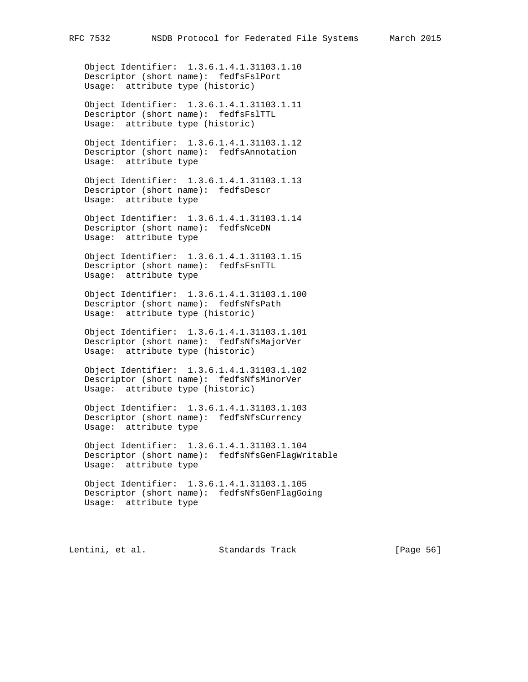Object Identifier: 1.3.6.1.4.1.31103.1.10 Descriptor (short name): fedfsFslPort Usage: attribute type (historic)

 Object Identifier: 1.3.6.1.4.1.31103.1.11 Descriptor (short name): fedfsFslTTL Usage: attribute type (historic)

 Object Identifier: 1.3.6.1.4.1.31103.1.12 Descriptor (short name): fedfsAnnotation Usage: attribute type

 Object Identifier: 1.3.6.1.4.1.31103.1.13 Descriptor (short name): fedfsDescr Usage: attribute type

 Object Identifier: 1.3.6.1.4.1.31103.1.14 Descriptor (short name): fedfsNceDN Usage: attribute type

 Object Identifier: 1.3.6.1.4.1.31103.1.15 Descriptor (short name): fedfsFsnTTL Usage: attribute type

 Object Identifier: 1.3.6.1.4.1.31103.1.100 Descriptor (short name): fedfsNfsPath Usage: attribute type (historic)

 Object Identifier: 1.3.6.1.4.1.31103.1.101 Descriptor (short name): fedfsNfsMajorVer Usage: attribute type (historic)

 Object Identifier: 1.3.6.1.4.1.31103.1.102 Descriptor (short name): fedfsNfsMinorVer Usage: attribute type (historic)

 Object Identifier: 1.3.6.1.4.1.31103.1.103 Descriptor (short name): fedfsNfsCurrency Usage: attribute type

 Object Identifier: 1.3.6.1.4.1.31103.1.104 Descriptor (short name): fedfsNfsGenFlagWritable Usage: attribute type

 Object Identifier: 1.3.6.1.4.1.31103.1.105 Descriptor (short name): fedfsNfsGenFlagGoing Usage: attribute type

Lentini, et al. Standards Track [Page 56]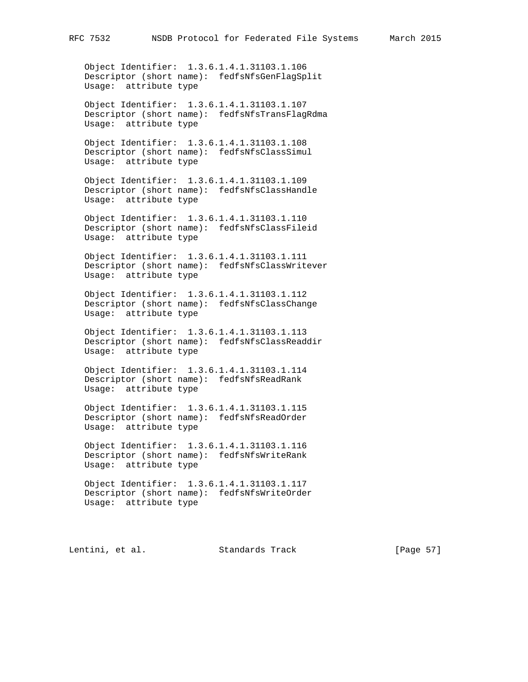Object Identifier: 1.3.6.1.4.1.31103.1.106 Descriptor (short name): fedfsNfsGenFlagSplit Usage: attribute type

 Object Identifier: 1.3.6.1.4.1.31103.1.107 Descriptor (short name): fedfsNfsTransFlagRdma Usage: attribute type

 Object Identifier: 1.3.6.1.4.1.31103.1.108 Descriptor (short name): fedfsNfsClassSimul Usage: attribute type

 Object Identifier: 1.3.6.1.4.1.31103.1.109 Descriptor (short name): fedfsNfsClassHandle Usage: attribute type

 Object Identifier: 1.3.6.1.4.1.31103.1.110 Descriptor (short name): fedfsNfsClassFileid Usage: attribute type

 Object Identifier: 1.3.6.1.4.1.31103.1.111 Descriptor (short name): fedfsNfsClassWritever Usage: attribute type

 Object Identifier: 1.3.6.1.4.1.31103.1.112 Descriptor (short name): fedfsNfsClassChange Usage: attribute type

 Object Identifier: 1.3.6.1.4.1.31103.1.113 Descriptor (short name): fedfsNfsClassReaddir Usage: attribute type

 Object Identifier: 1.3.6.1.4.1.31103.1.114 Descriptor (short name): fedfsNfsReadRank Usage: attribute type

 Object Identifier: 1.3.6.1.4.1.31103.1.115 Descriptor (short name): fedfsNfsReadOrder Usage: attribute type

 Object Identifier: 1.3.6.1.4.1.31103.1.116 Descriptor (short name): fedfsNfsWriteRank Usage: attribute type

 Object Identifier: 1.3.6.1.4.1.31103.1.117 Descriptor (short name): fedfsNfsWriteOrder Usage: attribute type

Lentini, et al. Standards Track [Page 57]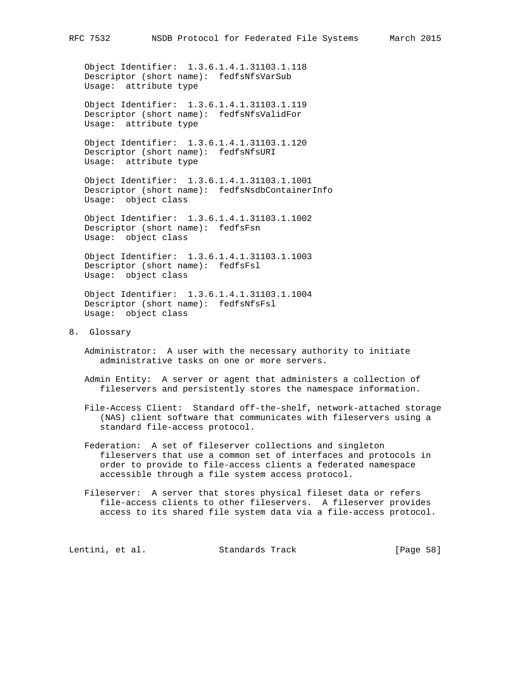Object Identifier: 1.3.6.1.4.1.31103.1.118 Descriptor (short name): fedfsNfsVarSub Usage: attribute type

 Object Identifier: 1.3.6.1.4.1.31103.1.119 Descriptor (short name): fedfsNfsValidFor Usage: attribute type

 Object Identifier: 1.3.6.1.4.1.31103.1.120 Descriptor (short name): fedfsNfsURI Usage: attribute type

 Object Identifier: 1.3.6.1.4.1.31103.1.1001 Descriptor (short name): fedfsNsdbContainerInfo Usage: object class

 Object Identifier: 1.3.6.1.4.1.31103.1.1002 Descriptor (short name): fedfsFsn Usage: object class

 Object Identifier: 1.3.6.1.4.1.31103.1.1003 Descriptor (short name): fedfsFsl Usage: object class

 Object Identifier: 1.3.6.1.4.1.31103.1.1004 Descriptor (short name): fedfsNfsFsl Usage: object class

8. Glossary

 Administrator: A user with the necessary authority to initiate administrative tasks on one or more servers.

 Admin Entity: A server or agent that administers a collection of fileservers and persistently stores the namespace information.

 File-Access Client: Standard off-the-shelf, network-attached storage (NAS) client software that communicates with fileservers using a standard file-access protocol.

- Federation: A set of fileserver collections and singleton fileservers that use a common set of interfaces and protocols in order to provide to file-access clients a federated namespace accessible through a file system access protocol.
- Fileserver: A server that stores physical fileset data or refers file-access clients to other fileservers. A fileserver provides access to its shared file system data via a file-access protocol.

Lentini, et al. Standards Track [Page 58]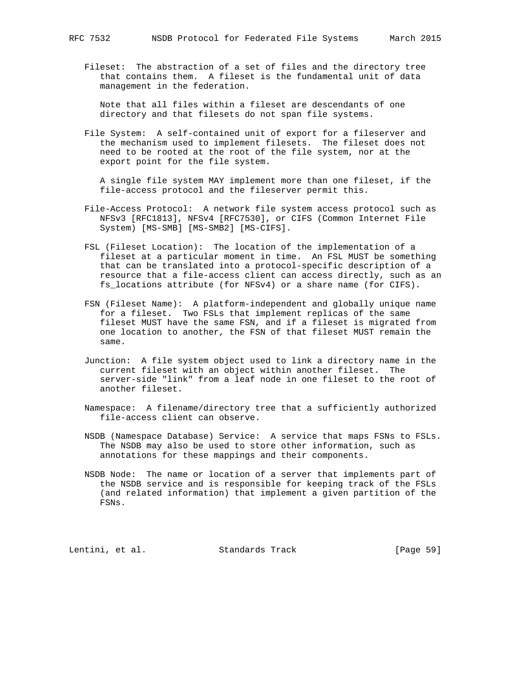Fileset: The abstraction of a set of files and the directory tree that contains them. A fileset is the fundamental unit of data management in the federation.

 Note that all files within a fileset are descendants of one directory and that filesets do not span file systems.

 File System: A self-contained unit of export for a fileserver and the mechanism used to implement filesets. The fileset does not need to be rooted at the root of the file system, nor at the export point for the file system.

 A single file system MAY implement more than one fileset, if the file-access protocol and the fileserver permit this.

- File-Access Protocol: A network file system access protocol such as NFSv3 [RFC1813], NFSv4 [RFC7530], or CIFS (Common Internet File System) [MS-SMB] [MS-SMB2] [MS-CIFS].
- FSL (Fileset Location): The location of the implementation of a fileset at a particular moment in time. An FSL MUST be something that can be translated into a protocol-specific description of a resource that a file-access client can access directly, such as an fs\_locations attribute (for NFSv4) or a share name (for CIFS).
- FSN (Fileset Name): A platform-independent and globally unique name for a fileset. Two FSLs that implement replicas of the same fileset MUST have the same FSN, and if a fileset is migrated from one location to another, the FSN of that fileset MUST remain the same.
- Junction: A file system object used to link a directory name in the current fileset with an object within another fileset. The server-side "link" from a leaf node in one fileset to the root of another fileset.
- Namespace: A filename/directory tree that a sufficiently authorized file-access client can observe.
- NSDB (Namespace Database) Service: A service that maps FSNs to FSLs. The NSDB may also be used to store other information, such as annotations for these mappings and their components.
- NSDB Node: The name or location of a server that implements part of the NSDB service and is responsible for keeping track of the FSLs (and related information) that implement a given partition of the FSNs.

Lentini, et al. Standards Track [Page 59]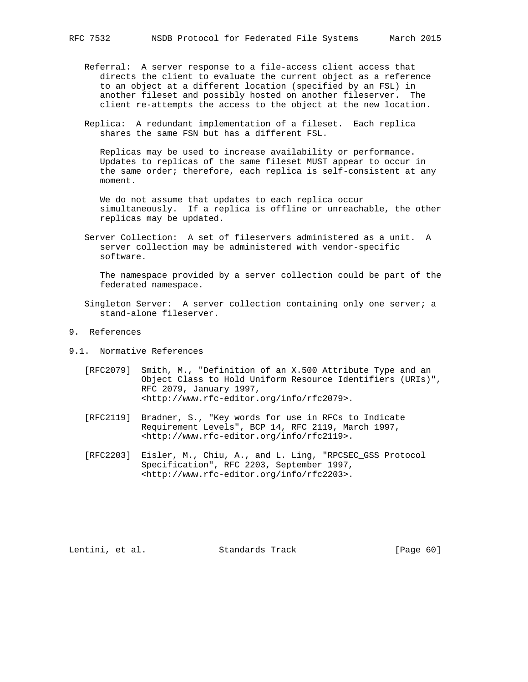- Referral: A server response to a file-access client access that directs the client to evaluate the current object as a reference to an object at a different location (specified by an FSL) in another fileset and possibly hosted on another fileserver. The client re-attempts the access to the object at the new location.
- Replica: A redundant implementation of a fileset. Each replica shares the same FSN but has a different FSL.

 Replicas may be used to increase availability or performance. Updates to replicas of the same fileset MUST appear to occur in the same order; therefore, each replica is self-consistent at any moment.

 We do not assume that updates to each replica occur simultaneously. If a replica is offline or unreachable, the other replicas may be updated.

 Server Collection: A set of fileservers administered as a unit. A server collection may be administered with vendor-specific software.

 The namespace provided by a server collection could be part of the federated namespace.

- Singleton Server: A server collection containing only one server; a stand-alone fileserver.
- 9. References
- 9.1. Normative References
	- [RFC2079] Smith, M., "Definition of an X.500 Attribute Type and an Object Class to Hold Uniform Resource Identifiers (URIs)", RFC 2079, January 1997, <http://www.rfc-editor.org/info/rfc2079>.
	- [RFC2119] Bradner, S., "Key words for use in RFCs to Indicate Requirement Levels", BCP 14, RFC 2119, March 1997, <http://www.rfc-editor.org/info/rfc2119>.
	- [RFC2203] Eisler, M., Chiu, A., and L. Ling, "RPCSEC\_GSS Protocol Specification", RFC 2203, September 1997, <http://www.rfc-editor.org/info/rfc2203>.

Lentini, et al. Standards Track [Page 60]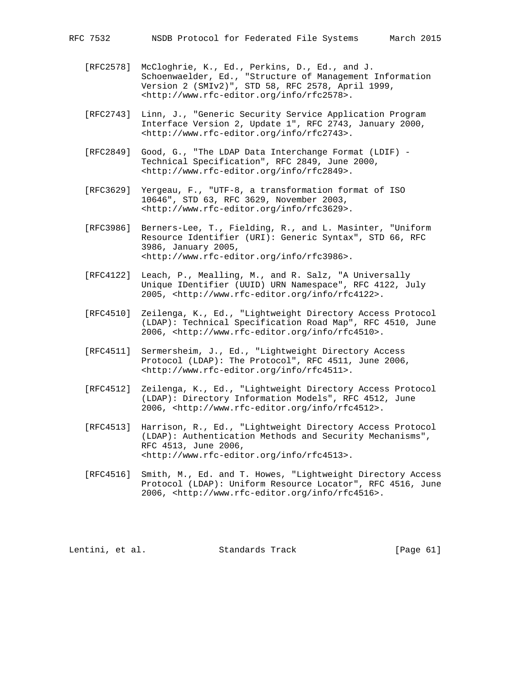- [RFC2578] McCloghrie, K., Ed., Perkins, D., Ed., and J. Schoenwaelder, Ed., "Structure of Management Information Version 2 (SMIv2)", STD 58, RFC 2578, April 1999, <http://www.rfc-editor.org/info/rfc2578>.
- [RFC2743] Linn, J., "Generic Security Service Application Program Interface Version 2, Update 1", RFC 2743, January 2000, <http://www.rfc-editor.org/info/rfc2743>.
- [RFC2849] Good, G., "The LDAP Data Interchange Format (LDIF) Technical Specification", RFC 2849, June 2000, <http://www.rfc-editor.org/info/rfc2849>.
- [RFC3629] Yergeau, F., "UTF-8, a transformation format of ISO 10646", STD 63, RFC 3629, November 2003, <http://www.rfc-editor.org/info/rfc3629>.
- [RFC3986] Berners-Lee, T., Fielding, R., and L. Masinter, "Uniform Resource Identifier (URI): Generic Syntax", STD 66, RFC 3986, January 2005, <http://www.rfc-editor.org/info/rfc3986>.
- [RFC4122] Leach, P., Mealling, M., and R. Salz, "A Universally Unique IDentifier (UUID) URN Namespace", RFC 4122, July 2005, <http://www.rfc-editor.org/info/rfc4122>.
- [RFC4510] Zeilenga, K., Ed., "Lightweight Directory Access Protocol (LDAP): Technical Specification Road Map", RFC 4510, June 2006, <http://www.rfc-editor.org/info/rfc4510>.
- [RFC4511] Sermersheim, J., Ed., "Lightweight Directory Access Protocol (LDAP): The Protocol", RFC 4511, June 2006, <http://www.rfc-editor.org/info/rfc4511>.
- [RFC4512] Zeilenga, K., Ed., "Lightweight Directory Access Protocol (LDAP): Directory Information Models", RFC 4512, June 2006, <http://www.rfc-editor.org/info/rfc4512>.
- [RFC4513] Harrison, R., Ed., "Lightweight Directory Access Protocol (LDAP): Authentication Methods and Security Mechanisms", RFC 4513, June 2006, <http://www.rfc-editor.org/info/rfc4513>.
- [RFC4516] Smith, M., Ed. and T. Howes, "Lightweight Directory Access Protocol (LDAP): Uniform Resource Locator", RFC 4516, June 2006, <http://www.rfc-editor.org/info/rfc4516>.

Lentini, et al. Standards Track [Page 61]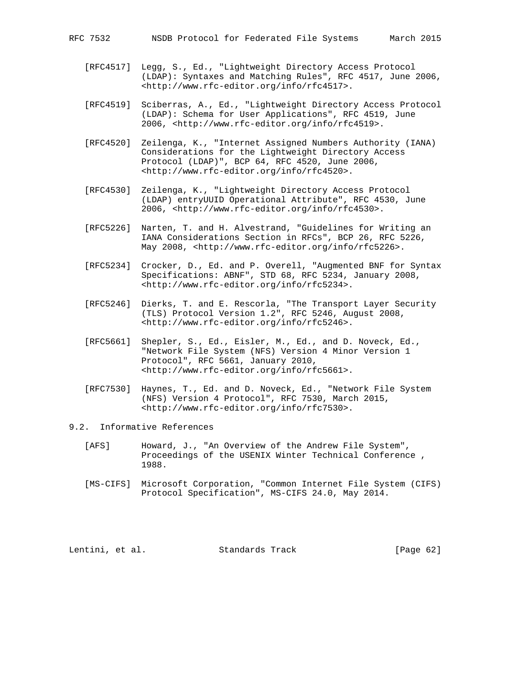- [RFC4517] Legg, S., Ed., "Lightweight Directory Access Protocol (LDAP): Syntaxes and Matching Rules", RFC 4517, June 2006, <http://www.rfc-editor.org/info/rfc4517>.
- [RFC4519] Sciberras, A., Ed., "Lightweight Directory Access Protocol (LDAP): Schema for User Applications", RFC 4519, June 2006, <http://www.rfc-editor.org/info/rfc4519>.
- [RFC4520] Zeilenga, K., "Internet Assigned Numbers Authority (IANA) Considerations for the Lightweight Directory Access Protocol (LDAP)", BCP 64, RFC 4520, June 2006, <http://www.rfc-editor.org/info/rfc4520>.
- [RFC4530] Zeilenga, K., "Lightweight Directory Access Protocol (LDAP) entryUUID Operational Attribute", RFC 4530, June 2006, <http://www.rfc-editor.org/info/rfc4530>.
- [RFC5226] Narten, T. and H. Alvestrand, "Guidelines for Writing an IANA Considerations Section in RFCs", BCP 26, RFC 5226, May 2008, <http://www.rfc-editor.org/info/rfc5226>.
- [RFC5234] Crocker, D., Ed. and P. Overell, "Augmented BNF for Syntax Specifications: ABNF", STD 68, RFC 5234, January 2008, <http://www.rfc-editor.org/info/rfc5234>.
- [RFC5246] Dierks, T. and E. Rescorla, "The Transport Layer Security (TLS) Protocol Version 1.2", RFC 5246, August 2008, <http://www.rfc-editor.org/info/rfc5246>.
	- [RFC5661] Shepler, S., Ed., Eisler, M., Ed., and D. Noveck, Ed., "Network File System (NFS) Version 4 Minor Version 1 Protocol", RFC 5661, January 2010, <http://www.rfc-editor.org/info/rfc5661>.
	- [RFC7530] Haynes, T., Ed. and D. Noveck, Ed., "Network File System (NFS) Version 4 Protocol", RFC 7530, March 2015, <http://www.rfc-editor.org/info/rfc7530>.

### 9.2. Informative References

- [AFS] Howard, J., "An Overview of the Andrew File System", Proceedings of the USENIX Winter Technical Conference , 1988.
- [MS-CIFS] Microsoft Corporation, "Common Internet File System (CIFS) Protocol Specification", MS-CIFS 24.0, May 2014.

Lentini, et al. Standards Track [Page 62]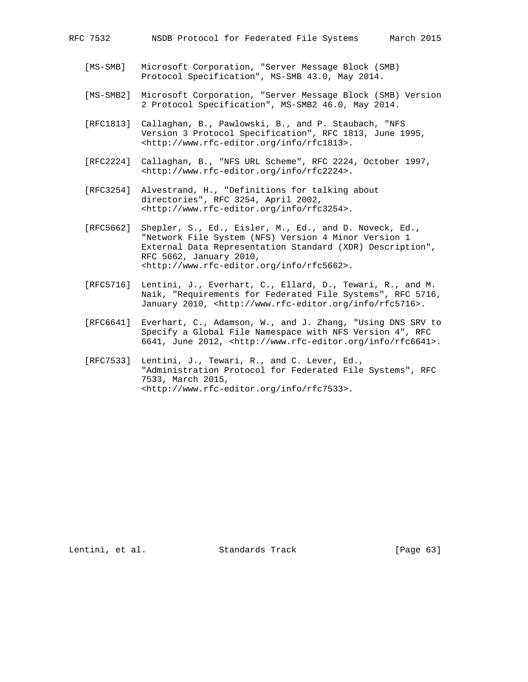- [MS-SMB] Microsoft Corporation, "Server Message Block (SMB) Protocol Specification", MS-SMB 43.0, May 2014.
- [MS-SMB2] Microsoft Corporation, "Server Message Block (SMB) Version 2 Protocol Specification", MS-SMB2 46.0, May 2014.
- [RFC1813] Callaghan, B., Pawlowski, B., and P. Staubach, "NFS Version 3 Protocol Specification", RFC 1813, June 1995, <http://www.rfc-editor.org/info/rfc1813>.
- [RFC2224] Callaghan, B., "NFS URL Scheme", RFC 2224, October 1997, <http://www.rfc-editor.org/info/rfc2224>.
- [RFC3254] Alvestrand, H., "Definitions for talking about directories", RFC 3254, April 2002, <http://www.rfc-editor.org/info/rfc3254>.
- [RFC5662] Shepler, S., Ed., Eisler, M., Ed., and D. Noveck, Ed., "Network File System (NFS) Version 4 Minor Version 1 External Data Representation Standard (XDR) Description", RFC 5662, January 2010, <http://www.rfc-editor.org/info/rfc5662>.
- [RFC5716] Lentini, J., Everhart, C., Ellard, D., Tewari, R., and M. Naik, "Requirements for Federated File Systems", RFC 5716, January 2010, <http://www.rfc-editor.org/info/rfc5716>.
- [RFC6641] Everhart, C., Adamson, W., and J. Zhang, "Using DNS SRV to Specify a Global File Namespace with NFS Version 4", RFC 6641, June 2012, <http://www.rfc-editor.org/info/rfc6641>.
- [RFC7533] Lentini, J., Tewari, R., and C. Lever, Ed., "Administration Protocol for Federated File Systems", RFC 7533, March 2015, <http://www.rfc-editor.org/info/rfc7533>.

Lentini, et al. Standards Track [Page 63]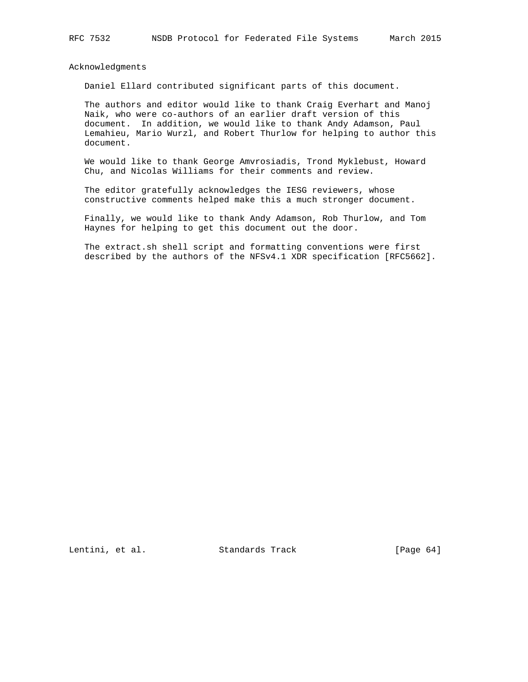Acknowledgments

Daniel Ellard contributed significant parts of this document.

 The authors and editor would like to thank Craig Everhart and Manoj Naik, who were co-authors of an earlier draft version of this document. In addition, we would like to thank Andy Adamson, Paul Lemahieu, Mario Wurzl, and Robert Thurlow for helping to author this document.

 We would like to thank George Amvrosiadis, Trond Myklebust, Howard Chu, and Nicolas Williams for their comments and review.

 The editor gratefully acknowledges the IESG reviewers, whose constructive comments helped make this a much stronger document.

 Finally, we would like to thank Andy Adamson, Rob Thurlow, and Tom Haynes for helping to get this document out the door.

 The extract.sh shell script and formatting conventions were first described by the authors of the NFSv4.1 XDR specification [RFC5662].